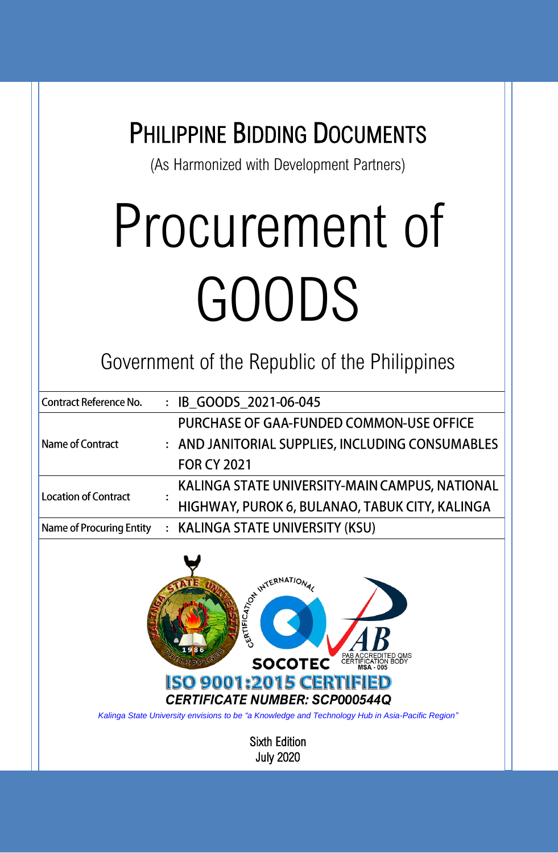| <b>PHILIPPINE BIDDING DOCUMENTS</b> |  |
|-------------------------------------|--|
|-------------------------------------|--|

(As Harmonized with Development Partners)

# Procurement of GOODS

Government of the Republic of the Philippines

| Contract Reference No.   | : IB GOODS 2021-06-045                           |
|--------------------------|--------------------------------------------------|
|                          | PURCHASE OF GAA-FUNDED COMMON-USE OFFICE         |
| Name of Contract         | : AND JANITORIAL SUPPLIES, INCLUDING CONSUMABLES |
|                          | <b>FOR CY 2021</b>                               |
| Location of Contract     | KALINGA STATE UNIVERSITY-MAIN CAMPUS, NATIONAL   |
|                          | HIGHWAY, PUROK 6, BULANAO, TABUK CITY, KALINGA   |
| Name of Procuring Entity | : KALINGA STATE UNIVERSITY (KSU)                 |
|                          |                                                  |



*Kalinga State University envisions to be "a Knowledge and Technology Hub in Asia-Pacific Region"*

Sixth Edition July 2020

i<br>I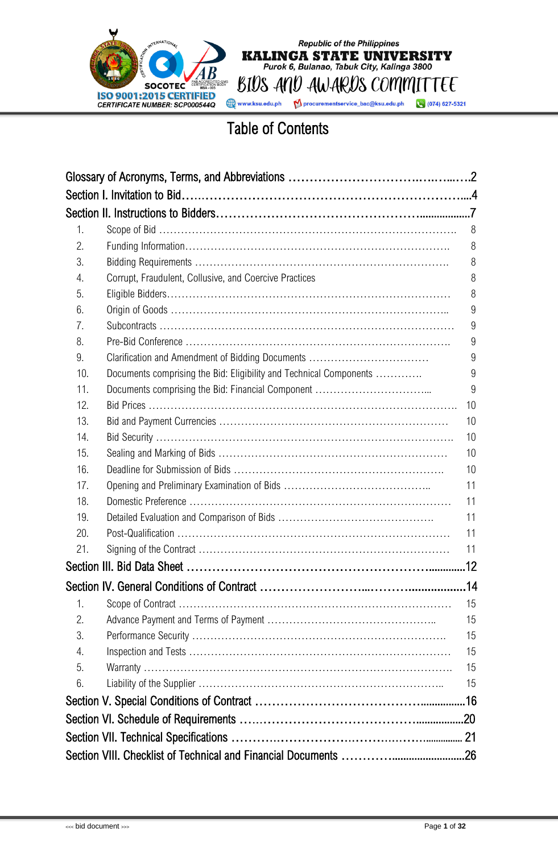

BIUS AND AWARDS COMMITTEE Mprocurementservice\_bac@ksu.edu.ph (074) 627-5321

Republic of the Philippines<br> **KALINGA STATE UNIVERSITY**<br>
Purok 6, Bulanao, Tabuk City, Kalinga 3800

### Table of Contents

| 1.  |                                                                    | 8  |
|-----|--------------------------------------------------------------------|----|
| 2.  |                                                                    | 8  |
| 3.  |                                                                    | 8  |
| 4.  | Corrupt, Fraudulent, Collusive, and Coercive Practices             | 8  |
| 5.  |                                                                    | 8  |
| 6.  |                                                                    | 9  |
| 7.  |                                                                    | 9  |
| 8.  |                                                                    | 9  |
| 9.  | Clarification and Amendment of Bidding Documents                   | 9  |
| 10. | Documents comprising the Bid: Eligibility and Technical Components | 9  |
| 11. |                                                                    | 9  |
| 12. |                                                                    | 10 |
| 13. |                                                                    | 10 |
| 14. |                                                                    | 10 |
| 15. |                                                                    | 10 |
| 16. |                                                                    | 10 |
| 17. |                                                                    | 11 |
| 18. |                                                                    | 11 |
| 19. |                                                                    | 11 |
| 20. |                                                                    | 11 |
| 21. |                                                                    | 11 |
|     |                                                                    |    |
|     |                                                                    |    |
| 1.  |                                                                    | 15 |
| 2.  |                                                                    | 15 |
| 3.  |                                                                    | 15 |
| 4.  |                                                                    | 15 |
| 5.  |                                                                    | 15 |
| 6.  |                                                                    | 15 |
|     |                                                                    |    |
|     |                                                                    |    |
|     |                                                                    |    |
|     |                                                                    |    |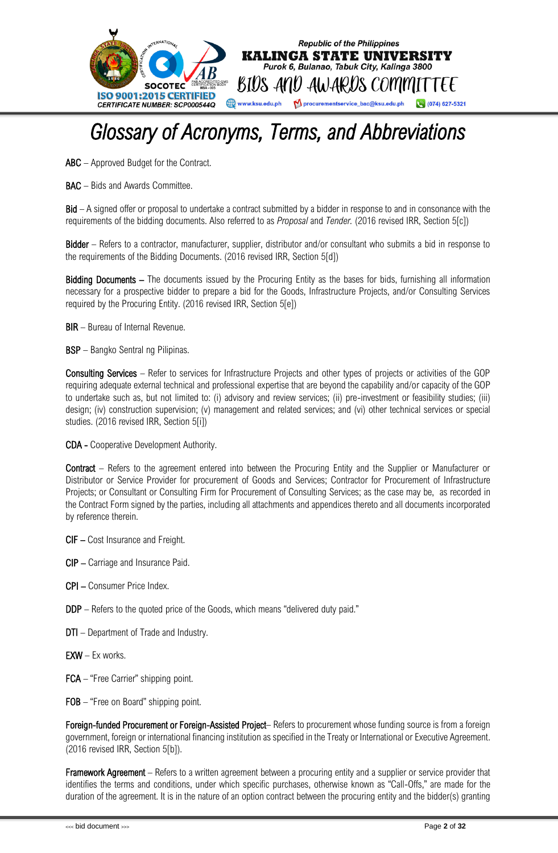

### <span id="page-2-0"></span>*Glossary of Acronyms, Terms, and Abbreviations*

ABC – Approved Budget for the Contract.

BAC – Bids and Awards Committee.

Bid – A signed offer or proposal to undertake a contract submitted by a bidder in response to and in consonance with the requirements of the bidding documents. Also referred to as *Proposal* and *Tender.* (2016 revised IRR, Section 5[c])

Bidder – Refers to a contractor, manufacturer, supplier, distributor and/or consultant who submits a bid in response to the requirements of the Bidding Documents. (2016 revised IRR, Section 5[d])

Bidding Documents – The documents issued by the Procuring Entity as the bases for bids, furnishing all information necessary for a prospective bidder to prepare a bid for the Goods, Infrastructure Projects, and/or Consulting Services required by the Procuring Entity. (2016 revised IRR, Section 5[e])

BIR – Bureau of Internal Revenue.

BSP – Bangko Sentral ng Pilipinas.

Consulting Services – Refer to services for Infrastructure Projects and other types of projects or activities of the GOP requiring adequate external technical and professional expertise that are beyond the capability and/or capacity of the GOP to undertake such as, but not limited to: (i) advisory and review services; (ii) pre-investment or feasibility studies; (iii) design; (iv) construction supervision; (v) management and related services; and (vi) other technical services or special studies. (2016 revised IRR, Section 5[i])

CDA - Cooperative Development Authority.

Contract – Refers to the agreement entered into between the Procuring Entity and the Supplier or Manufacturer or Distributor or Service Provider for procurement of Goods and Services; Contractor for Procurement of Infrastructure Projects; or Consultant or Consulting Firm for Procurement of Consulting Services; as the case may be, as recorded in the Contract Form signed by the parties, including all attachments and appendices thereto and all documents incorporated by reference therein.

CIF – Cost Insurance and Freight.

CIP – Carriage and Insurance Paid.

- CPI Consumer Price Index.
- DDP Refers to the quoted price of the Goods, which means "delivered duty paid."
- DTI Department of Trade and Industry.
- $EXW Ex$  works.
- FCA "Free Carrier" shipping point.
- FOB "Free on Board" shipping point.

Foreign-funded Procurement or Foreign-Assisted Project-Refers to procurement whose funding source is from a foreign government, foreign or international financing institution as specified in the Treaty or International or Executive Agreement. (2016 revised IRR, Section 5[b]).

**Framework Agreement** – Refers to a written agreement between a procuring entity and a supplier or service provider that identifies the terms and conditions, under which specific purchases, otherwise known as "Call-Offs," are made for the duration of the agreement. It is in the nature of an option contract between the procuring entity and the bidder(s) granting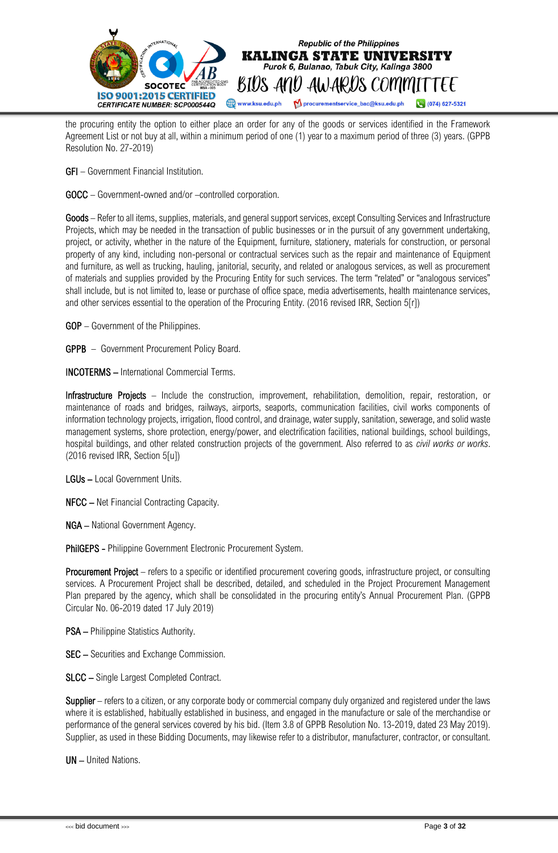

the procuring entity the option to either place an order for any of the goods or services identified in the Framework Agreement List or not buy at all, within a minimum period of one (1) year to a maximum period of three (3) years. (GPPB Resolution No. 27-2019)

GFI – Government Financial Institution.

GOCC – Government-owned and/or –controlled corporation.

Goods – Refer to all items, supplies, materials, and general support services, except Consulting Services and Infrastructure Projects, which may be needed in the transaction of public businesses or in the pursuit of any government undertaking, project, or activity, whether in the nature of the Equipment, furniture, stationery, materials for construction, or personal property of any kind, including non-personal or contractual services such as the repair and maintenance of Equipment and furniture, as well as trucking, hauling, janitorial, security, and related or analogous services, as well as procurement of materials and supplies provided by the Procuring Entity for such services. The term "related" or "analogous services" shall include, but is not limited to, lease or purchase of office space, media advertisements, health maintenance services, and other services essential to the operation of the Procuring Entity. (2016 revised IRR, Section 5[r])

GOP – Government of the Philippines.

GPPB – Government Procurement Policy Board.

INCOTERMS – International Commercial Terms.

Infrastructure Projects – Include the construction, improvement, rehabilitation, demolition, repair, restoration, or maintenance of roads and bridges, railways, airports, seaports, communication facilities, civil works components of information technology projects, irrigation, flood control, and drainage, water supply, sanitation, sewerage, and solid waste management systems, shore protection, energy/power, and electrification facilities, national buildings, school buildings, hospital buildings, and other related construction projects of the government. Also referred to as *civil works or works*. (2016 revised IRR, Section 5[u])

LGUs – Local Government Units.

NFCC – Net Financial Contracting Capacity.

NGA – National Government Agency.

PhilGEPS - Philippine Government Electronic Procurement System.

Procurement Project – refers to a specific or identified procurement covering goods, infrastructure project, or consulting services. A Procurement Project shall be described, detailed, and scheduled in the Project Procurement Management Plan prepared by the agency, which shall be consolidated in the procuring entity's Annual Procurement Plan. (GPPB Circular No. 06-2019 dated 17 July 2019)

PSA – Philippine Statistics Authority.

SEC – Securities and Exchange Commission.

SLCC – Single Largest Completed Contract.

Supplier – refers to a citizen, or any corporate body or commercial company duly organized and registered under the laws where it is established, habitually established in business, and engaged in the manufacture or sale of the merchandise or performance of the general services covered by his bid. (Item 3.8 of GPPB Resolution No. 13-2019, dated 23 May 2019). Supplier, as used in these Bidding Documents, may likewise refer to a distributor, manufacturer, contractor, or consultant.

UN – United Nations.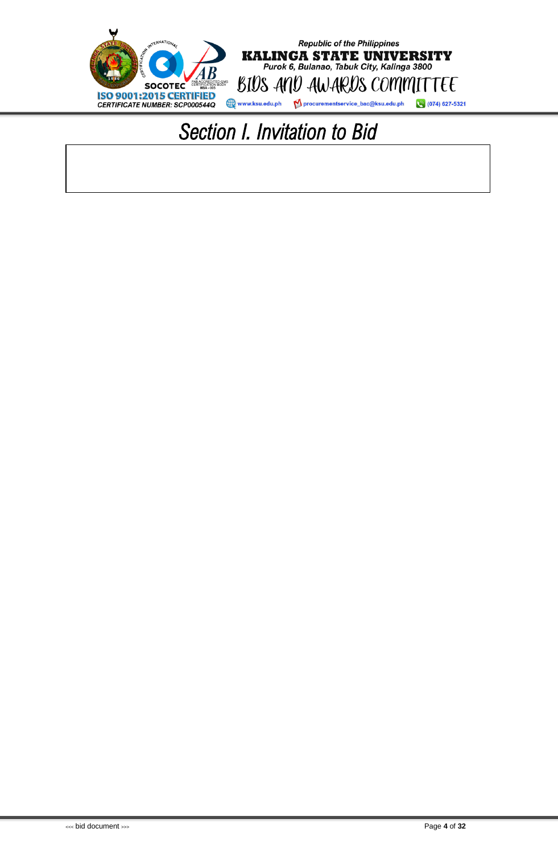<span id="page-4-0"></span>

### *Section I. Invitation to Bid*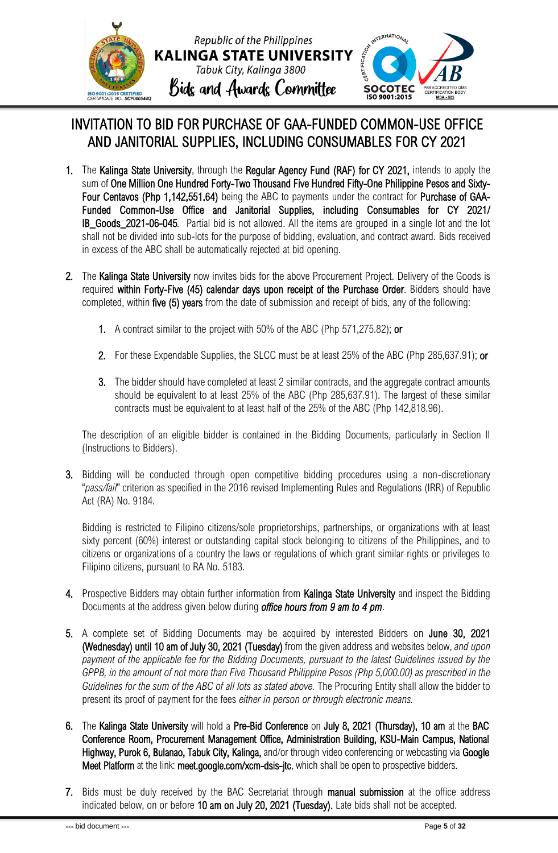

### INVITATION TO BID FOR PURCHASE OF GAA-FUNDED COMMON-USE OFFICE AND JANITORIAL SUPPLIES, INCLUDING CONSUMABLES FOR CY 2021

- 1. The Kalinga State University, through the Regular Agency Fund (RAF) for CY 2021, intends to apply the sum of One Million One Hundred Forty-Two Thousand Five Hundred Fifty-One Philippine Pesos and Sixty-Four Centavos (Php 1,142,551.64) being the ABC to payments under the contract for Purchase of GAA-Funded Common-Use Office and Janitorial Supplies, including Consumables for CY 2021/ IB\_Goods\_2021-06-045*.* Partial bid is not allowed. All the items are grouped in a single lot and the lot shall not be divided into sub-lots for the purpose of bidding, evaluation, and contract award. Bids received in excess of the ABC shall be automatically rejected at bid opening.
- 2. The Kalinga State University now invites bids for the above Procurement Project. Delivery of the Goods is required within Forty-Five (45) calendar days upon receipt of the Purchase Order. Bidders should have completed, within five (5) years from the date of submission and receipt of bids, any of the following:
	- 1. A contract similar to the project with 50% of the ABC (Php 571,275.82); or
	- 2. For these Expendable Supplies, the SLCC must be at least 25% of the ABC (Php 285,637.91); or
	- 3. The bidder should have completed at least 2 similar contracts, and the aggregate contract amounts should be equivalent to at least 25% of the ABC (Php 285,637.91). The largest of these similar contracts must be equivalent to at least half of the 25% of the ABC (Php 142,818.96).

The description of an eligible bidder is contained in the Bidding Documents, particularly in Section II (Instructions to Bidders).

3. Bidding will be conducted through open competitive bidding procedures using a non-discretionary "*pass/fail*" criterion as specified in the 2016 revised Implementing Rules and Regulations (IRR) of Republic Act (RA) No. 9184.

Bidding is restricted to Filipino citizens/sole proprietorships, partnerships, or organizations with at least sixty percent (60%) interest or outstanding capital stock belonging to citizens of the Philippines, and to citizens or organizations of a country the laws or regulations of which grant similar rights or privileges to Filipino citizens, pursuant to RA No. 5183.

- 4. Prospective Bidders may obtain further information from **Kalinga State University** and inspect the Bidding Documents at the address given below during *office hours from 9 am to 4 pm*.
- 5. A complete set of Bidding Documents may be acquired by interested Bidders on June 30, 2021 (Wednesday) until 10 am of July 30, 2021 (Tuesday) from the given address and websites below, *and upon*  payment of the applicable fee for the Bidding Documents, pursuant to the latest Guidelines issued by the *GPPB, in the amount of not more than Five Thousand Philippine Pesos (Php 5,000.00) as prescribed in the Guidelines for the sum of the ABC of all lots as stated above.* The Procuring Entity shall allow the bidder to present its proof of payment for the fees *either in person or through electronic means.*
- 6. The Kalinga State University will hold a Pre-Bid Conference on July 8, 2021 (Thursday), 10 am at the BAC Conference Room, Procurement Management Office, Administration Building, KSU-Main Campus, National Highway, Purok 6, Bulanao, Tabuk City, Kalinga, and/or through video conferencing or webcasting via Google Meet Platform at the link: meet.google.com/xcm-dsis-jtc, which shall be open to prospective bidders.
- 7. Bids must be duly received by the BAC Secretariat through manual submission at the office address indicated below, on or before 10 am on July 20, 2021 (Tuesday). Late bids shall not be accepted.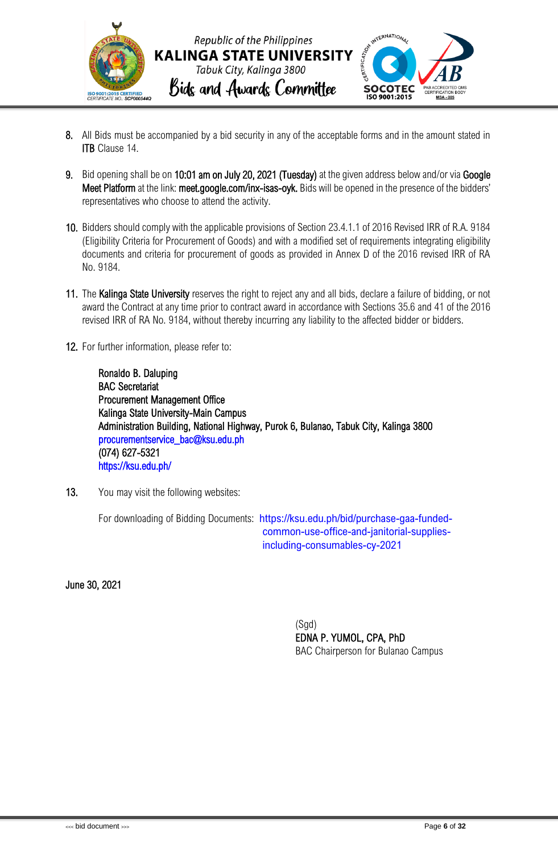

- 8. All Bids must be accompanied by a bid security in any of the acceptable forms and in the amount stated in **ITB** Clause 14.
- 9. Bid opening shall be on 10:01 am on July 20, 2021 (Tuesday) at the given address below and/or via Google Meet Platform at the link: meet.google.com/inx-isas-oyk. Bids will be opened in the presence of the bidders' representatives who choose to attend the activity.
- 10. Bidders should comply with the applicable provisions of Section 23.4.1.1 of 2016 Revised IRR of R.A. 9184 (Eligibility Criteria for Procurement of Goods) and with a modified set of requirements integrating eligibility documents and criteria for procurement of goods as provided in Annex D of the 2016 revised IRR of RA No. 9184.
- 11. The Kalinga State University reserves the right to reject any and all bids, declare a failure of bidding, or not award the Contract at any time prior to contract award in accordance with Sections 35.6 and 41 of the 2016 revised IRR of RA No. 9184, without thereby incurring any liability to the affected bidder or bidders.
- 12. For further information, please refer to:

Ronaldo B. Daluping BAC Secretariat Procurement Management Office Kalinga State University-Main Campus Administration Building, National Highway, Purok 6, Bulanao, Tabuk City, Kalinga 3800 [procurementservice\\_bac@ksu.edu.ph](mailto:procurementservice_bac@ksu.edu.ph)  (074) 627-5321 <https://ksu.edu.ph/>

13. You may visit the following websites:

For downloading of Bidding Documents: https://ksu.edu.ph/bid/purchase-gaa-fundedcommon-use-office-and-janitorial-suppliesincluding-consumables-cy-2021

June 30, 2021

(Sgd) EDNA P. YUMOL, CPA, PhD BAC Chairperson for Bulanao Campus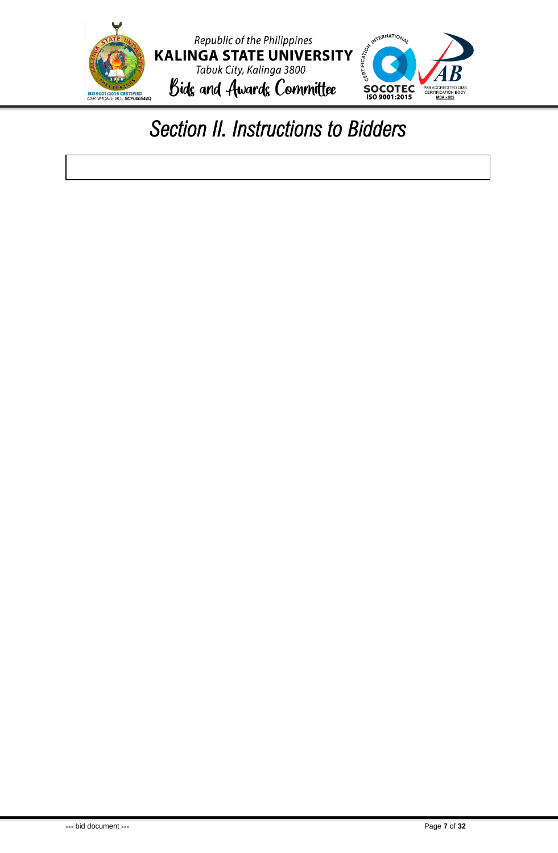

### <span id="page-7-0"></span>*Section II. Instructions to Bidders*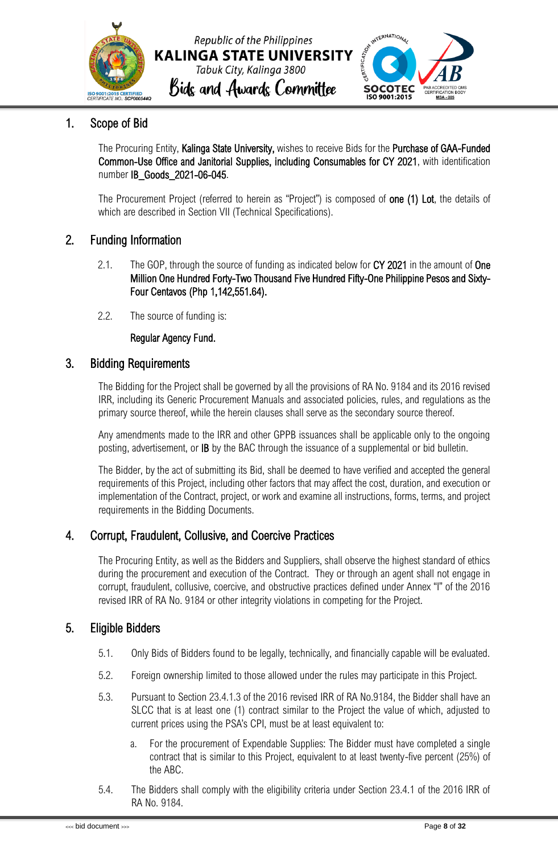



### <span id="page-8-0"></span>1. Scope of Bid

The Procuring Entity, Kalinga State University, wishes to receive Bids for the Purchase of GAA-Funded Common-Use Office and Janitorial Supplies, including Consumables for CY 2021, with identification number IB\_Goods\_2021-06-045.

The Procurement Project (referred to herein as "Project") is composed of **one (1) Lot**, the details of which are described in Section VII (Technical Specifications).

### <span id="page-8-1"></span>2. Funding Information

- 2.1. The GOP, through the source of funding as indicated below for CY 2021 in the amount of One Million One Hundred Forty-Two Thousand Five Hundred Fifty-One Philippine Pesos and Sixty-Four Centavos (Php 1,142,551.64).
- 2.2. The source of funding is:

### Regular Agency Fund.

### <span id="page-8-2"></span>3. Bidding Requirements

The Bidding for the Project shall be governed by all the provisions of RA No. 9184 and its 2016 revised IRR, including its Generic Procurement Manuals and associated policies, rules, and regulations as the primary source thereof, while the herein clauses shall serve as the secondary source thereof.

Any amendments made to the IRR and other GPPB issuances shall be applicable only to the ongoing posting, advertisement, or IB by the BAC through the issuance of a supplemental or bid bulletin.

The Bidder, by the act of submitting its Bid, shall be deemed to have verified and accepted the general requirements of this Project, including other factors that may affect the cost, duration, and execution or implementation of the Contract, project, or work and examine all instructions, forms, terms, and project requirements in the Bidding Documents.

### <span id="page-8-3"></span>4. Corrupt, Fraudulent, Collusive, and Coercive Practices

The Procuring Entity, as well as the Bidders and Suppliers, shall observe the highest standard of ethics during the procurement and execution of the Contract. They or through an agent shall not engage in corrupt, fraudulent, collusive, coercive, and obstructive practices defined under Annex "I" of the 2016 revised IRR of RA No. 9184 or other integrity violations in competing for the Project.

### <span id="page-8-4"></span>5. Eligible Bidders

- 5.1. Only Bids of Bidders found to be legally, technically, and financially capable will be evaluated.
- 5.2. Foreign ownership limited to those allowed under the rules may participate in this Project.
- 5.3. Pursuant to Section 23.4.1.3 of the 2016 revised IRR of RA No.9184, the Bidder shall have an SLCC that is at least one (1) contract similar to the Project the value of which, adjusted to current prices using the PSA's CPI, must be at least equivalent to:
	- a. For the procurement of Expendable Supplies: The Bidder must have completed a single contract that is similar to this Project, equivalent to at least twenty-five percent (25%) of the ABC.
- 5.4. The Bidders shall comply with the eligibility criteria under Section 23.4.1 of the 2016 IRR of RA No. 9184.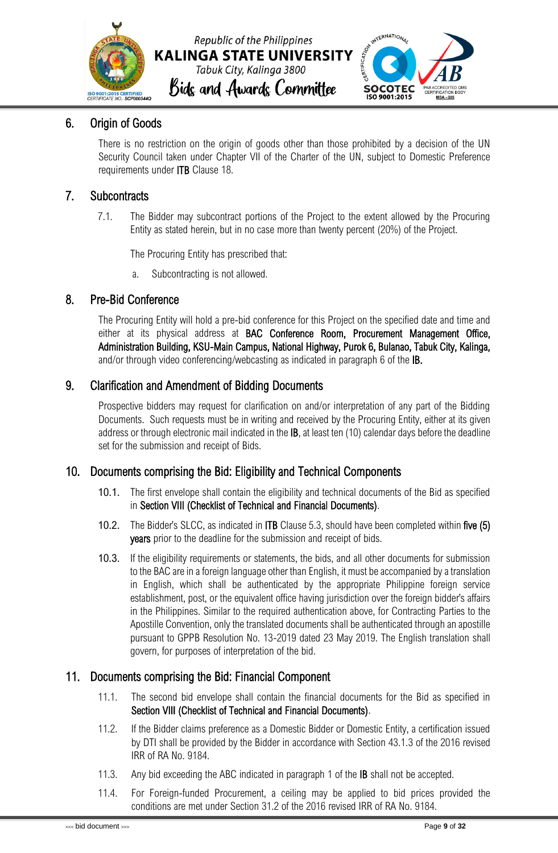



### <span id="page-9-0"></span>6. Origin of Goods

There is no restriction on the origin of goods other than those prohibited by a decision of the UN Security Council taken under Chapter VII of the Charter of the UN, subject to Domestic Preference requirements under ITB Clause 18.

### <span id="page-9-1"></span>7. Subcontracts

7.1. The Bidder may subcontract portions of the Project to the extent allowed by the Procuring Entity as stated herein, but in no case more than twenty percent (20%) of the Project.

The Procuring Entity has prescribed that:

a. Subcontracting is not allowed.

### <span id="page-9-2"></span>8. Pre-Bid Conference

The Procuring Entity will hold a pre-bid conference for this Project on the specified date and time and either at its physical address at BAC Conference Room, Procurement Management Office, Administration Building, KSU-Main Campus, National Highway, Purok 6, Bulanao, Tabuk City, Kalinga, and/or through video conferencing/webcasting as indicated in paragraph 6 of the IB.

### <span id="page-9-3"></span>9. Clarification and Amendment of Bidding Documents

Prospective bidders may request for clarification on and/or interpretation of any part of the Bidding Documents. Such requests must be in writing and received by the Procuring Entity, either at its given address or through electronic mail indicated in the IB, at least ten (10) calendar days before the deadline set for the submission and receipt of Bids.

### <span id="page-9-4"></span>10. Documents comprising the Bid: Eligibility and Technical Components

- 10.1. The first envelope shall contain the eligibility and technical documents of the Bid as specified in Section VIII (Checklist of Technical and Financial Documents).
- 10.2. The Bidder's SLCC, as indicated in ITB Clause 5.3, should have been completed within five (5) years prior to the deadline for the submission and receipt of bids.
- 10.3. If the eligibility requirements or statements, the bids, and all other documents for submission to the BAC are in a foreign language other than English, it must be accompanied by a translation in English, which shall be authenticated by the appropriate Philippine foreign service establishment, post, or the equivalent office having jurisdiction over the foreign bidder's affairs in the Philippines. Similar to the required authentication above, for Contracting Parties to the Apostille Convention, only the translated documents shall be authenticated through an apostille pursuant to GPPB Resolution No. 13-2019 dated 23 May 2019. The English translation shall govern, for purposes of interpretation of the bid.

### <span id="page-9-5"></span>11. Documents comprising the Bid: Financial Component

- 11.1. The second bid envelope shall contain the financial documents for the Bid as specified in Section VIII (Checklist of Technical and Financial Documents).
- 11.2. If the Bidder claims preference as a Domestic Bidder or Domestic Entity, a certification issued by DTI shall be provided by the Bidder in accordance with Section 43.1.3 of the 2016 revised IRR of RA No. 9184.
- 11.3. Any bid exceeding the ABC indicated in paragraph 1 of the **IB** shall not be accepted.
- 11.4. For Foreign-funded Procurement, a ceiling may be applied to bid prices provided the conditions are met under Section 31.2 of the 2016 revised IRR of RA No. 9184.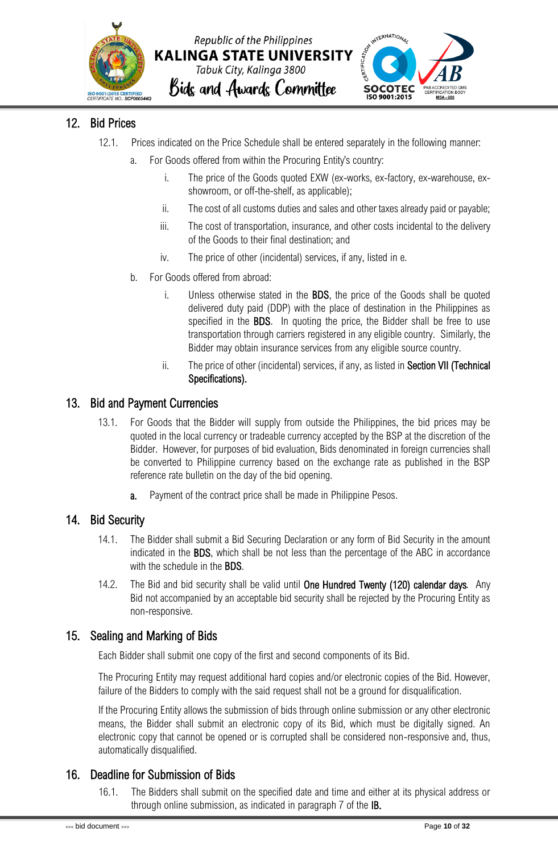



### <span id="page-10-0"></span>12. Bid Prices

- 12.1. Prices indicated on the Price Schedule shall be entered separately in the following manner:
	- a. For Goods offered from within the Procuring Entity's country:
		- i. The price of the Goods quoted EXW (ex-works, ex-factory, ex-warehouse, exshowroom, or off-the-shelf, as applicable);
		- ii. The cost of all customs duties and sales and other taxes already paid or payable;
		- iii. The cost of transportation, insurance, and other costs incidental to the delivery of the Goods to their final destination; and
		- iv. The price of other (incidental) services, if any, listed in e.
	- b. For Goods offered from abroad:
		- i. Unless otherwise stated in the BDS, the price of the Goods shall be quoted delivered duty paid (DDP) with the place of destination in the Philippines as specified in the **BDS**. In quoting the price, the Bidder shall be free to use transportation through carriers registered in any eligible country. Similarly, the Bidder may obtain insurance services from any eligible source country.
		- ii. The price of other (incidental) services, if any, as listed in Section VII (Technical Specifications).

### <span id="page-10-1"></span>13. Bid and Payment Currencies

- 13.1. For Goods that the Bidder will supply from outside the Philippines, the bid prices may be quoted in the local currency or tradeable currency accepted by the BSP at the discretion of the Bidder. However, for purposes of bid evaluation, Bids denominated in foreign currencies shall be converted to Philippine currency based on the exchange rate as published in the BSP reference rate bulletin on the day of the bid opening.
	- a. Payment of the contract price shall be made in Philippine Pesos.

### <span id="page-10-2"></span>14. Bid Security

- 14.1. The Bidder shall submit a Bid Securing Declaration or any form of Bid Security in the amount indicated in the BDS, which shall be not less than the percentage of the ABC in accordance with the schedule in the **BDS**.
- 14.2. The Bid and bid security shall be valid until One Hundred Twenty (120) calendar days*.* Any Bid not accompanied by an acceptable bid security shall be rejected by the Procuring Entity as non-responsive.

### <span id="page-10-3"></span>15. Sealing and Marking of Bids

Each Bidder shall submit one copy of the first and second components of its Bid.

The Procuring Entity may request additional hard copies and/or electronic copies of the Bid. However, failure of the Bidders to comply with the said request shall not be a ground for disqualification.

If the Procuring Entity allows the submission of bids through online submission or any other electronic means, the Bidder shall submit an electronic copy of its Bid, which must be digitally signed. An electronic copy that cannot be opened or is corrupted shall be considered non-responsive and, thus, automatically disqualified.

### <span id="page-10-4"></span>16. Deadline for Submission of Bids

16.1. The Bidders shall submit on the specified date and time and either at its physical address or through online submission, as indicated in paragraph 7 of the IB.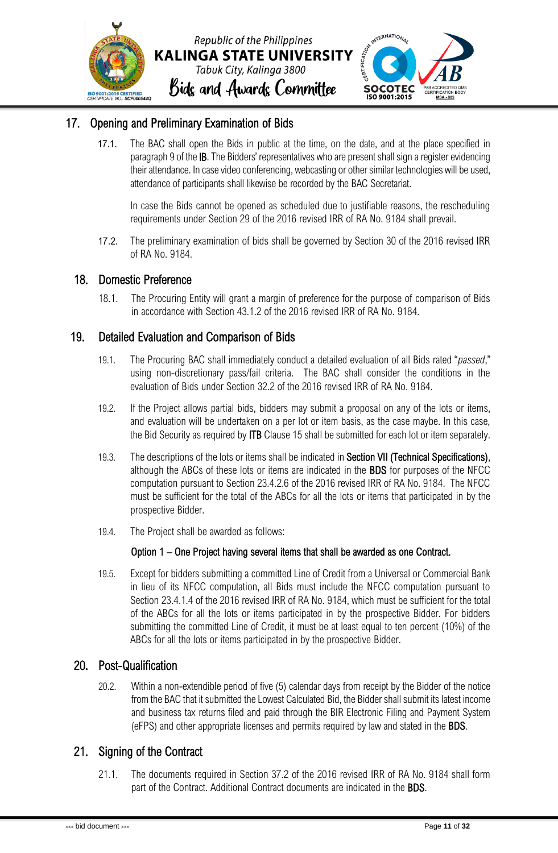

### <span id="page-11-0"></span>17. Opening and Preliminary Examination of Bids

17.1. The BAC shall open the Bids in public at the time, on the date, and at the place specified in paragraph 9 of the IB. The Bidders' representatives who are present shall sign a register evidencing their attendance. In case video conferencing, webcasting or other similar technologies will be used, attendance of participants shall likewise be recorded by the BAC Secretariat.

In case the Bids cannot be opened as scheduled due to justifiable reasons, the rescheduling requirements under Section 29 of the 2016 revised IRR of RA No. 9184 shall prevail.

17.2. The preliminary examination of bids shall be governed by Section 30 of the 2016 revised IRR of RA No. 9184.

### <span id="page-11-1"></span>18. Domestic Preference

18.1. The Procuring Entity will grant a margin of preference for the purpose of comparison of Bids in accordance with Section 43.1.2 of the 2016 revised IRR of RA No. 9184.

### <span id="page-11-2"></span>19. Detailed Evaluation and Comparison of Bids

- 19.1. The Procuring BAC shall immediately conduct a detailed evaluation of all Bids rated "*passed*," using non-discretionary pass/fail criteria. The BAC shall consider the conditions in the evaluation of Bids under Section 32.2 of the 2016 revised IRR of RA No. 9184.
- 19.2. If the Project allows partial bids, bidders may submit a proposal on any of the lots or items, and evaluation will be undertaken on a per lot or item basis, as the case maybe. In this case, the Bid Security as required by ITB Clause 15 shall be submitted for each lot or item separately.
- 19.3. The descriptions of the lots or items shall be indicated in Section VII (Technical Specifications), although the ABCs of these lots or items are indicated in the BDS for purposes of the NFCC computation pursuant to Section 23.4.2.6 of the 2016 revised IRR of RA No. 9184. The NFCC must be sufficient for the total of the ABCs for all the lots or items that participated in by the prospective Bidder.
- 19.4. The Project shall be awarded as follows:

#### Option 1 – One Project having several items that shall be awarded as one Contract.

19.5. Except for bidders submitting a committed Line of Credit from a Universal or Commercial Bank in lieu of its NFCC computation, all Bids must include the NFCC computation pursuant to Section 23.4.1.4 of the 2016 revised IRR of RA No. 9184, which must be sufficient for the total of the ABCs for all the lots or items participated in by the prospective Bidder. For bidders submitting the committed Line of Credit, it must be at least equal to ten percent (10%) of the ABCs for all the lots or items participated in by the prospective Bidder.

### <span id="page-11-3"></span>20. Post-Qualification

20.2. Within a non-extendible period of five (5) calendar days from receipt by the Bidder of the notice from the BAC that it submitted the Lowest Calculated Bid, the Bidder shall submit its latest income and business tax returns filed and paid through the BIR Electronic Filing and Payment System (eFPS) and other appropriate licenses and permits required by law and stated in the BDS.

### <span id="page-11-4"></span>21. Signing of the Contract

21.1. The documents required in Section 37.2 of the 2016 revised IRR of RA No. 9184 shall form part of the Contract. Additional Contract documents are indicated in the BDS.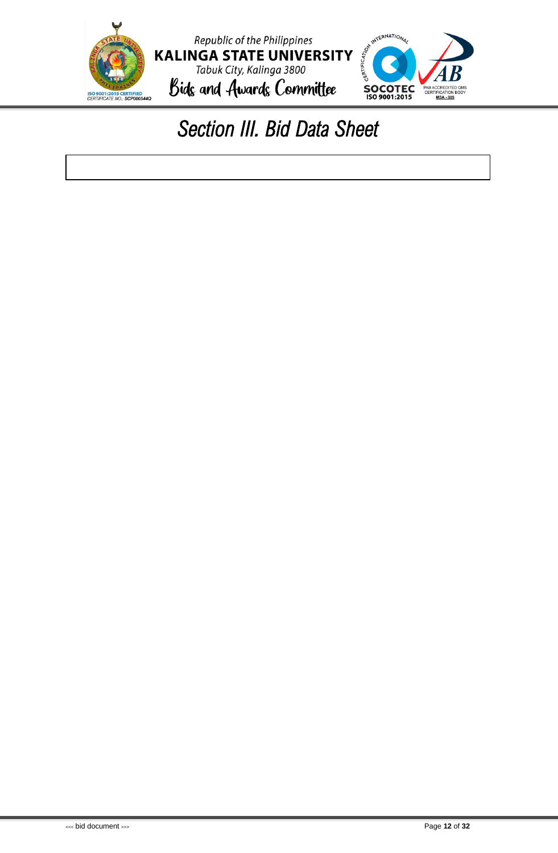<span id="page-12-0"></span>

### *Section III. Bid Data Sheet*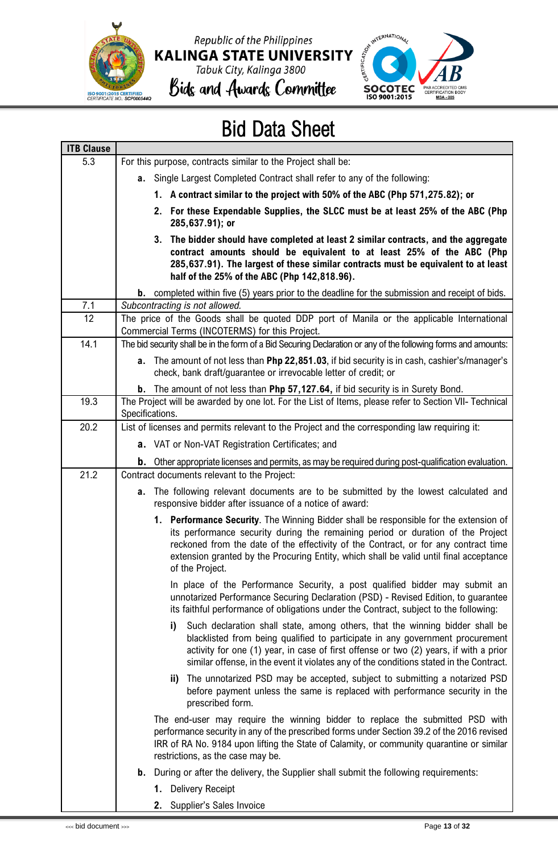







### Bid Data Sheet

| <b>ITB Clause</b> |                                                                                                                                                                                                                                                                                                                                                                              |
|-------------------|------------------------------------------------------------------------------------------------------------------------------------------------------------------------------------------------------------------------------------------------------------------------------------------------------------------------------------------------------------------------------|
| 5.3               | For this purpose, contracts similar to the Project shall be:                                                                                                                                                                                                                                                                                                                 |
|                   | <b>a.</b> Single Largest Completed Contract shall refer to any of the following:                                                                                                                                                                                                                                                                                             |
|                   | 1. A contract similar to the project with 50% of the ABC (Php 571,275.82); or                                                                                                                                                                                                                                                                                                |
|                   | 2. For these Expendable Supplies, the SLCC must be at least 25% of the ABC (Php<br>285,637.91); or                                                                                                                                                                                                                                                                           |
|                   | 3. The bidder should have completed at least 2 similar contracts, and the aggregate<br>contract amounts should be equivalent to at least 25% of the ABC (Php<br>285,637.91). The largest of these similar contracts must be equivalent to at least<br>half of the 25% of the ABC (Php 142,818.96).                                                                           |
|                   | <b>b.</b> completed within five (5) years prior to the deadline for the submission and receipt of bids.                                                                                                                                                                                                                                                                      |
| 7.1               | Subcontracting is not allowed.                                                                                                                                                                                                                                                                                                                                               |
| 12                | The price of the Goods shall be quoted DDP port of Manila or the applicable International<br>Commercial Terms (INCOTERMS) for this Project.                                                                                                                                                                                                                                  |
| 14.1              | The bid security shall be in the form of a Bid Securing Declaration or any of the following forms and amounts:                                                                                                                                                                                                                                                               |
|                   | a. The amount of not less than Php 22,851.03, if bid security is in cash, cashier's/manager's<br>check, bank draft/guarantee or irrevocable letter of credit; or                                                                                                                                                                                                             |
|                   | <b>b.</b> The amount of not less than Php 57,127.64, if bid security is in Surety Bond.                                                                                                                                                                                                                                                                                      |
| 19.3              | The Project will be awarded by one lot. For the List of Items, please refer to Section VII- Technical<br>Specifications.                                                                                                                                                                                                                                                     |
| 20.2              | List of licenses and permits relevant to the Project and the corresponding law requiring it:                                                                                                                                                                                                                                                                                 |
|                   | <b>a.</b> VAT or Non-VAT Registration Certificates; and                                                                                                                                                                                                                                                                                                                      |
|                   | <b>b.</b> Other appropriate licenses and permits, as may be required during post-qualification evaluation.                                                                                                                                                                                                                                                                   |
| 21.2              | Contract documents relevant to the Project:                                                                                                                                                                                                                                                                                                                                  |
|                   | The following relevant documents are to be submitted by the lowest calculated and<br>а.<br>responsive bidder after issuance of a notice of award:                                                                                                                                                                                                                            |
|                   | 1. Performance Security. The Winning Bidder shall be responsible for the extension of<br>its performance security during the remaining period or duration of the Project<br>reckoned from the date of the effectivity of the Contract, or for any contract time<br>extension granted by the Procuring Entity, which shall be valid until final acceptance<br>of the Project. |
|                   | In place of the Performance Security, a post qualified bidder may submit an<br>unnotarized Performance Securing Declaration (PSD) - Revised Edition, to guarantee<br>its faithful performance of obligations under the Contract, subject to the following:                                                                                                                   |
|                   | i)<br>Such declaration shall state, among others, that the winning bidder shall be<br>blacklisted from being qualified to participate in any government procurement<br>activity for one (1) year, in case of first offense or two (2) years, if with a prior<br>similar offense, in the event it violates any of the conditions stated in the Contract.                      |
|                   | ii) The unnotarized PSD may be accepted, subject to submitting a notarized PSD<br>before payment unless the same is replaced with performance security in the<br>prescribed form.                                                                                                                                                                                            |
|                   | The end-user may require the winning bidder to replace the submitted PSD with<br>performance security in any of the prescribed forms under Section 39.2 of the 2016 revised<br>IRR of RA No. 9184 upon lifting the State of Calamity, or community quarantine or similar<br>restrictions, as the case may be.                                                                |
|                   | <b>b.</b> During or after the delivery, the Supplier shall submit the following requirements:                                                                                                                                                                                                                                                                                |
|                   | 1. Delivery Receipt                                                                                                                                                                                                                                                                                                                                                          |
|                   | 2. Supplier's Sales Invoice                                                                                                                                                                                                                                                                                                                                                  |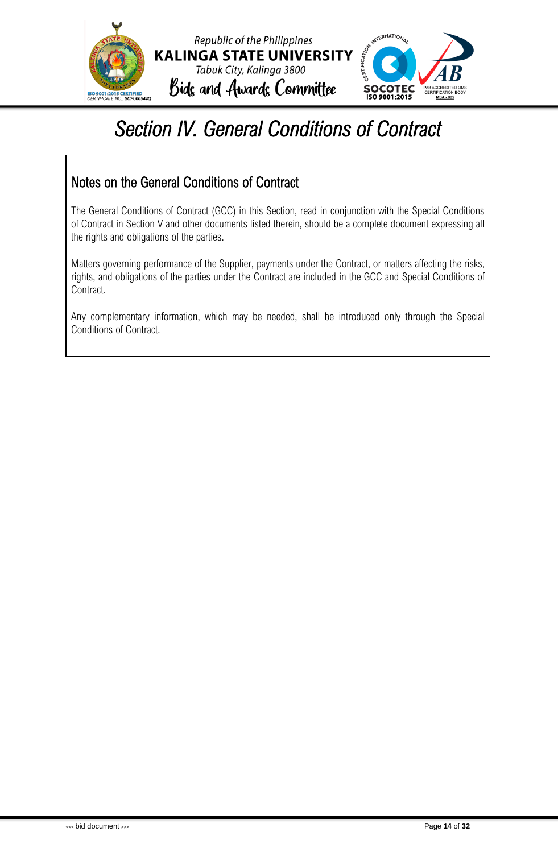



### <span id="page-14-0"></span>*Section IV. General Conditions of Contract*

### Notes on the General Conditions of Contract

The General Conditions of Contract (GCC) in this Section, read in conjunction with the Special Conditions of Contract in Section V and other documents listed therein, should be a complete document expressing all the rights and obligations of the parties.

Matters governing performance of the Supplier, payments under the Contract, or matters affecting the risks, rights, and obligations of the parties under the Contract are included in the GCC and Special Conditions of Contract.

Any complementary information, which may be needed, shall be introduced only through the Special Conditions of Contract.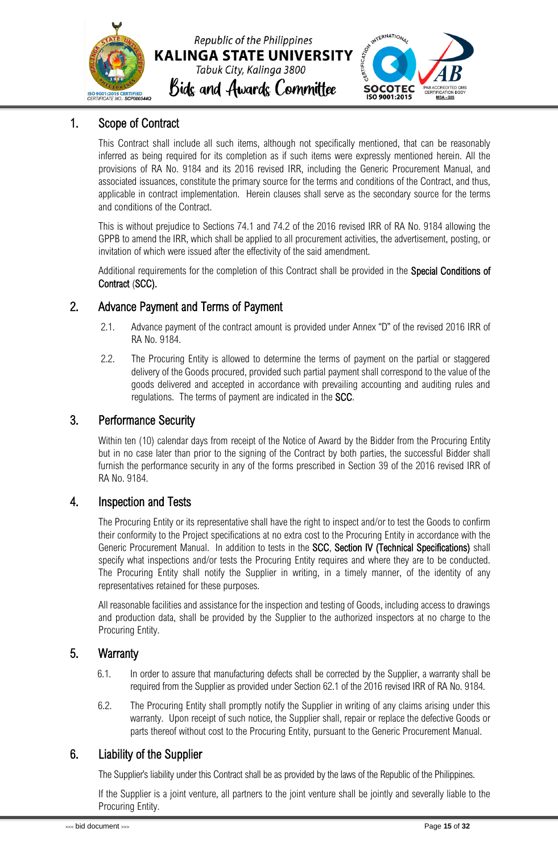



### <span id="page-15-0"></span>1. Scope of Contract

This Contract shall include all such items, although not specifically mentioned, that can be reasonably inferred as being required for its completion as if such items were expressly mentioned herein. All the provisions of RA No. 9184 and its 2016 revised IRR, including the Generic Procurement Manual, and associated issuances, constitute the primary source for the terms and conditions of the Contract, and thus, applicable in contract implementation. Herein clauses shall serve as the secondary source for the terms and conditions of the Contract.

This is without prejudice to Sections 74.1 and 74.2 of the 2016 revised IRR of RA No. 9184 allowing the GPPB to amend the IRR, which shall be applied to all procurement activities, the advertisement, posting, or invitation of which were issued after the effectivity of the said amendment.

Additional requirements for the completion of this Contract shall be provided in the Special Conditions of Contract (SCC).

### <span id="page-15-1"></span>2. Advance Payment and Terms of Payment

- 2.1. Advance payment of the contract amount is provided under Annex "D" of the revised 2016 IRR of RA No. 9184.
- 2.2. The Procuring Entity is allowed to determine the terms of payment on the partial or staggered delivery of the Goods procured, provided such partial payment shall correspond to the value of the goods delivered and accepted in accordance with prevailing accounting and auditing rules and regulations. The terms of payment are indicated in the SCC.

### <span id="page-15-2"></span>3. Performance Security

Within ten (10) calendar days from receipt of the Notice of Award by the Bidder from the Procuring Entity but in no case later than prior to the signing of the Contract by both parties, the successful Bidder shall furnish the performance security in any of the forms prescribed in Section 39 of the 2016 revised IRR of RA No. 9184.

### <span id="page-15-3"></span>4. Inspection and Tests

The Procuring Entity or its representative shall have the right to inspect and/or to test the Goods to confirm their conformity to the Project specifications at no extra cost to the Procuring Entity in accordance with the Generic Procurement Manual. In addition to tests in the SCC, Section IV (Technical Specifications) shall specify what inspections and/or tests the Procuring Entity requires and where they are to be conducted. The Procuring Entity shall notify the Supplier in writing, in a timely manner, of the identity of any representatives retained for these purposes.

All reasonable facilities and assistance for the inspection and testing of Goods, including access to drawings and production data, shall be provided by the Supplier to the authorized inspectors at no charge to the Procuring Entity.

### <span id="page-15-4"></span>5. Warranty

- 6.1. In order to assure that manufacturing defects shall be corrected by the Supplier, a warranty shall be required from the Supplier as provided under Section 62.1 of the 2016 revised IRR of RA No. 9184.
- 6.2. The Procuring Entity shall promptly notify the Supplier in writing of any claims arising under this warranty. Upon receipt of such notice, the Supplier shall, repair or replace the defective Goods or parts thereof without cost to the Procuring Entity, pursuant to the Generic Procurement Manual.

### <span id="page-15-5"></span>6. Liability of the Supplier

The Supplier's liability under this Contract shall be as provided by the laws of the Republic of the Philippines.

If the Supplier is a joint venture, all partners to the joint venture shall be jointly and severally liable to the Procuring Entity.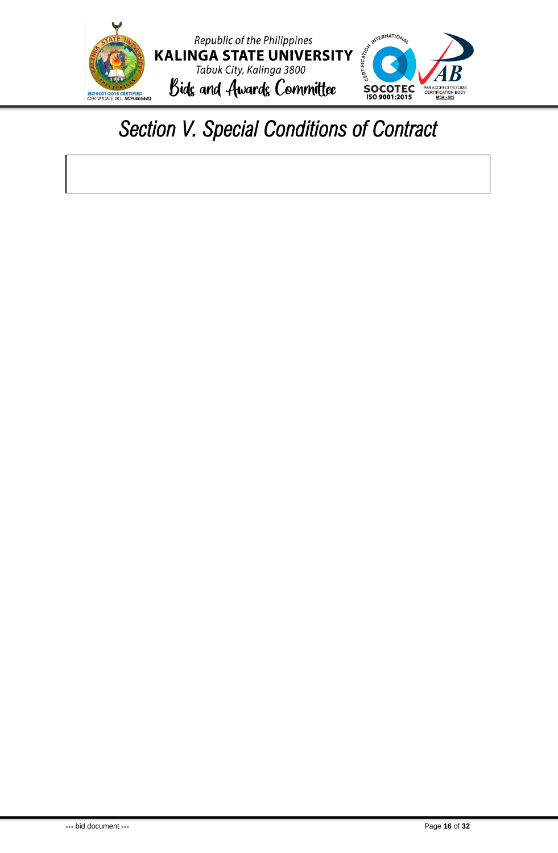

### <span id="page-16-0"></span>*Section V. Special Conditions of Contract*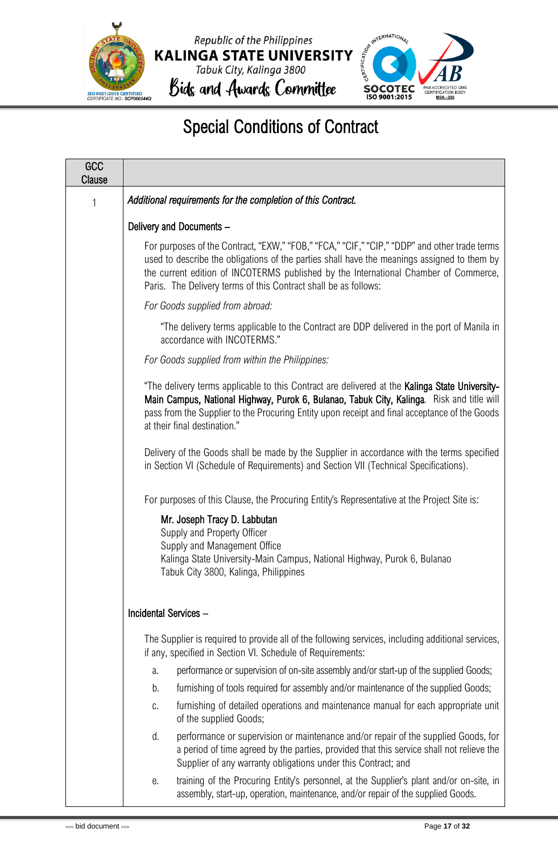



### Special Conditions of Contract

| GCC<br><b>Clause</b> |                                                                                                                                                                                                                                                                                                                                                        |
|----------------------|--------------------------------------------------------------------------------------------------------------------------------------------------------------------------------------------------------------------------------------------------------------------------------------------------------------------------------------------------------|
| $\mathbf{1}$         | Additional requirements for the completion of this Contract.                                                                                                                                                                                                                                                                                           |
|                      | Delivery and Documents -                                                                                                                                                                                                                                                                                                                               |
|                      | For purposes of the Contract, "EXW," "FOB," "FCA," "CIF," "CIP," "DDP" and other trade terms<br>used to describe the obligations of the parties shall have the meanings assigned to them by<br>the current edition of INCOTERMS published by the International Chamber of Commerce,<br>Paris. The Delivery terms of this Contract shall be as follows: |
|                      | For Goods supplied from abroad:                                                                                                                                                                                                                                                                                                                        |
|                      | "The delivery terms applicable to the Contract are DDP delivered in the port of Manila in<br>accordance with INCOTERMS."                                                                                                                                                                                                                               |
|                      | For Goods supplied from within the Philippines:                                                                                                                                                                                                                                                                                                        |
|                      | "The delivery terms applicable to this Contract are delivered at the Kalinga State University-<br>Main Campus, National Highway, Purok 6, Bulanao, Tabuk City, Kalinga. Risk and title will<br>pass from the Supplier to the Procuring Entity upon receipt and final acceptance of the Goods<br>at their final destination."                           |
|                      | Delivery of the Goods shall be made by the Supplier in accordance with the terms specified<br>in Section VI (Schedule of Requirements) and Section VII (Technical Specifications).                                                                                                                                                                     |
|                      | For purposes of this Clause, the Procuring Entity's Representative at the Project Site is:                                                                                                                                                                                                                                                             |
|                      | Mr. Joseph Tracy D. Labbutan<br>Supply and Property Officer<br>Supply and Management Office<br>Kalinga State University-Main Campus, National Highway, Purok 6, Bulanao<br>Tabuk City 3800, Kalinga, Philippines                                                                                                                                       |
|                      | Incidental Services -                                                                                                                                                                                                                                                                                                                                  |
|                      | The Supplier is required to provide all of the following services, including additional services,<br>if any, specified in Section VI. Schedule of Requirements:                                                                                                                                                                                        |
|                      | performance or supervision of on-site assembly and/or start-up of the supplied Goods;<br>a.                                                                                                                                                                                                                                                            |
|                      | furnishing of tools required for assembly and/or maintenance of the supplied Goods;<br>b.                                                                                                                                                                                                                                                              |
|                      | furnishing of detailed operations and maintenance manual for each appropriate unit<br>C.<br>of the supplied Goods;                                                                                                                                                                                                                                     |
|                      | performance or supervision or maintenance and/or repair of the supplied Goods, for<br>d.<br>a period of time agreed by the parties, provided that this service shall not relieve the<br>Supplier of any warranty obligations under this Contract; and                                                                                                  |
|                      | training of the Procuring Entity's personnel, at the Supplier's plant and/or on-site, in<br>е.<br>assembly, start-up, operation, maintenance, and/or repair of the supplied Goods.                                                                                                                                                                     |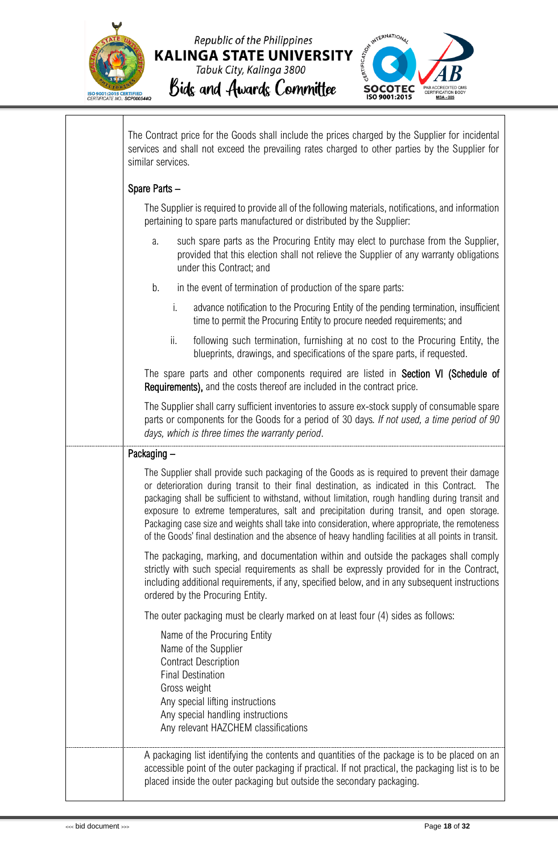

 $\sqrt{ }$ 



| The Contract price for the Goods shall include the prices charged by the Supplier for incidental<br>services and shall not exceed the prevailing rates charged to other parties by the Supplier for<br>similar services.                                                                                                                                                                                                                                                                                                                                                                                         |
|------------------------------------------------------------------------------------------------------------------------------------------------------------------------------------------------------------------------------------------------------------------------------------------------------------------------------------------------------------------------------------------------------------------------------------------------------------------------------------------------------------------------------------------------------------------------------------------------------------------|
| Spare Parts -                                                                                                                                                                                                                                                                                                                                                                                                                                                                                                                                                                                                    |
| The Supplier is required to provide all of the following materials, notifications, and information<br>pertaining to spare parts manufactured or distributed by the Supplier:                                                                                                                                                                                                                                                                                                                                                                                                                                     |
| such spare parts as the Procuring Entity may elect to purchase from the Supplier,<br>a.<br>provided that this election shall not relieve the Supplier of any warranty obligations<br>under this Contract; and                                                                                                                                                                                                                                                                                                                                                                                                    |
| in the event of termination of production of the spare parts:<br>b.                                                                                                                                                                                                                                                                                                                                                                                                                                                                                                                                              |
| i.<br>advance notification to the Procuring Entity of the pending termination, insufficient<br>time to permit the Procuring Entity to procure needed requirements; and                                                                                                                                                                                                                                                                                                                                                                                                                                           |
| ii.<br>following such termination, furnishing at no cost to the Procuring Entity, the<br>blueprints, drawings, and specifications of the spare parts, if requested.                                                                                                                                                                                                                                                                                                                                                                                                                                              |
| The spare parts and other components required are listed in Section VI (Schedule of<br><b>Requirements),</b> and the costs thereof are included in the contract price.                                                                                                                                                                                                                                                                                                                                                                                                                                           |
| The Supplier shall carry sufficient inventories to assure ex-stock supply of consumable spare<br>parts or components for the Goods for a period of 30 days. If not used, a time period of 90<br>days, which is three times the warranty period.                                                                                                                                                                                                                                                                                                                                                                  |
| Packaging -                                                                                                                                                                                                                                                                                                                                                                                                                                                                                                                                                                                                      |
| The Supplier shall provide such packaging of the Goods as is required to prevent their damage<br>or deterioration during transit to their final destination, as indicated in this Contract. The<br>packaging shall be sufficient to withstand, without limitation, rough handling during transit and<br>exposure to extreme temperatures, salt and precipitation during transit, and open storage.<br>Packaging case size and weights shall take into consideration, where appropriate, the remoteness<br>of the Goods' final destination and the absence of heavy handling facilities at all points in transit. |
| The packaging, marking, and documentation within and outside the packages shall comply<br>strictly with such special requirements as shall be expressly provided for in the Contract,<br>including additional requirements, if any, specified below, and in any subsequent instructions<br>ordered by the Procuring Entity.                                                                                                                                                                                                                                                                                      |
| The outer packaging must be clearly marked on at least four (4) sides as follows:                                                                                                                                                                                                                                                                                                                                                                                                                                                                                                                                |
| Name of the Procuring Entity<br>Name of the Supplier<br><b>Contract Description</b><br><b>Final Destination</b><br>Gross weight<br>Any special lifting instructions<br>Any special handling instructions<br>Any relevant HAZCHEM classifications                                                                                                                                                                                                                                                                                                                                                                 |
| A packaging list identifying the contents and quantities of the package is to be placed on an<br>accessible point of the outer packaging if practical. If not practical, the packaging list is to be<br>placed inside the outer packaging but outside the secondary packaging.                                                                                                                                                                                                                                                                                                                                   |

 $\overline{\phantom{a}}$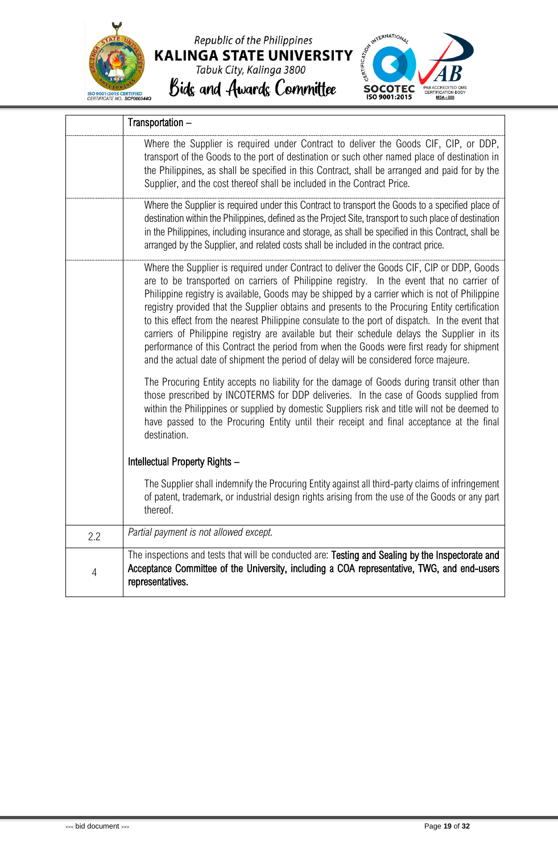





|                | Transportation -                                                                                                                                                                                                                                                                                                                                                                                                                                                                                                                                                                                                                                                                                                                                                                   |
|----------------|------------------------------------------------------------------------------------------------------------------------------------------------------------------------------------------------------------------------------------------------------------------------------------------------------------------------------------------------------------------------------------------------------------------------------------------------------------------------------------------------------------------------------------------------------------------------------------------------------------------------------------------------------------------------------------------------------------------------------------------------------------------------------------|
|                | Where the Supplier is required under Contract to deliver the Goods CIF, CIP, or DDP,<br>transport of the Goods to the port of destination or such other named place of destination in<br>the Philippines, as shall be specified in this Contract, shall be arranged and paid for by the<br>Supplier, and the cost thereof shall be included in the Contract Price.                                                                                                                                                                                                                                                                                                                                                                                                                 |
|                | Where the Supplier is required under this Contract to transport the Goods to a specified place of<br>destination within the Philippines, defined as the Project Site, transport to such place of destination<br>in the Philippines, including insurance and storage, as shall be specified in this Contract, shall be<br>arranged by the Supplier, and related costs shall be included in the contract price.                                                                                                                                                                                                                                                                                                                                                                      |
|                | Where the Supplier is required under Contract to deliver the Goods CIF, CIP or DDP, Goods<br>are to be transported on carriers of Philippine registry. In the event that no carrier of<br>Philippine registry is available, Goods may be shipped by a carrier which is not of Philippine<br>registry provided that the Supplier obtains and presents to the Procuring Entity certification<br>to this effect from the nearest Philippine consulate to the port of dispatch. In the event that<br>carriers of Philippine registry are available but their schedule delays the Supplier in its<br>performance of this Contract the period from when the Goods were first ready for shipment<br>and the actual date of shipment the period of delay will be considered force majeure. |
|                | The Procuring Entity accepts no liability for the damage of Goods during transit other than<br>those prescribed by INCOTERMS for DDP deliveries. In the case of Goods supplied from<br>within the Philippines or supplied by domestic Suppliers risk and title will not be deemed to<br>have passed to the Procuring Entity until their receipt and final acceptance at the final<br>destination.                                                                                                                                                                                                                                                                                                                                                                                  |
|                | Intellectual Property Rights -                                                                                                                                                                                                                                                                                                                                                                                                                                                                                                                                                                                                                                                                                                                                                     |
|                | The Supplier shall indemnify the Procuring Entity against all third-party claims of infringement<br>of patent, trademark, or industrial design rights arising from the use of the Goods or any part<br>thereof.                                                                                                                                                                                                                                                                                                                                                                                                                                                                                                                                                                    |
| 2.2            | Partial payment is not allowed except.                                                                                                                                                                                                                                                                                                                                                                                                                                                                                                                                                                                                                                                                                                                                             |
| $\overline{4}$ | The inspections and tests that will be conducted are: Testing and Sealing by the Inspectorate and<br>Acceptance Committee of the University, including a COA representative, TWG, and end-users<br>representatives.                                                                                                                                                                                                                                                                                                                                                                                                                                                                                                                                                                |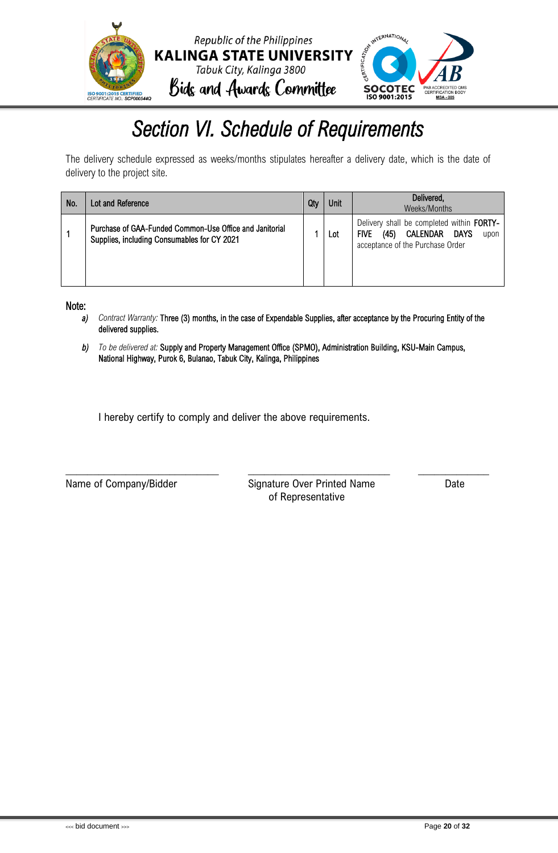

### *Section VI. Schedule of Requirements*

<span id="page-20-0"></span>The delivery schedule expressed as weeks/months stipulates hereafter a delivery date, which is the date of delivery to the project site.

| No. | Lot and Reference                                                                                      | Qty | Unit | Delivered,<br>Weeks/Months                                                                                                       |
|-----|--------------------------------------------------------------------------------------------------------|-----|------|----------------------------------------------------------------------------------------------------------------------------------|
|     | Purchase of GAA-Funded Common-Use Office and Janitorial<br>Supplies, including Consumables for CY 2021 |     | Lot  | Delivery shall be completed within FORTY-<br>CALENDAR<br>(45)<br>DAYS<br><b>FIVE</b><br>upon<br>acceptance of the Purchase Order |

Note:

- *a) Contract Warranty:* Three (3) months, in the case of Expendable Supplies, after acceptance by the Procuring Entity of the delivered supplies.
- *b) To be delivered at:* Supply and Property Management Office (SPMO), Administration Building, KSU-Main Campus, National Highway, Purok 6, Bulanao, Tabuk City, Kalinga, Philippines

\_\_\_\_\_\_\_\_\_\_\_\_\_\_\_\_\_\_\_\_\_\_\_\_\_\_\_\_ \_\_\_\_\_\_\_\_\_\_\_\_\_\_\_\_\_\_\_\_\_\_\_\_\_\_ \_\_\_\_\_\_\_\_\_\_\_\_\_

I hereby certify to comply and deliver the above requirements.

Name of Company/Bidder Signature Over Printed Name Date of Representative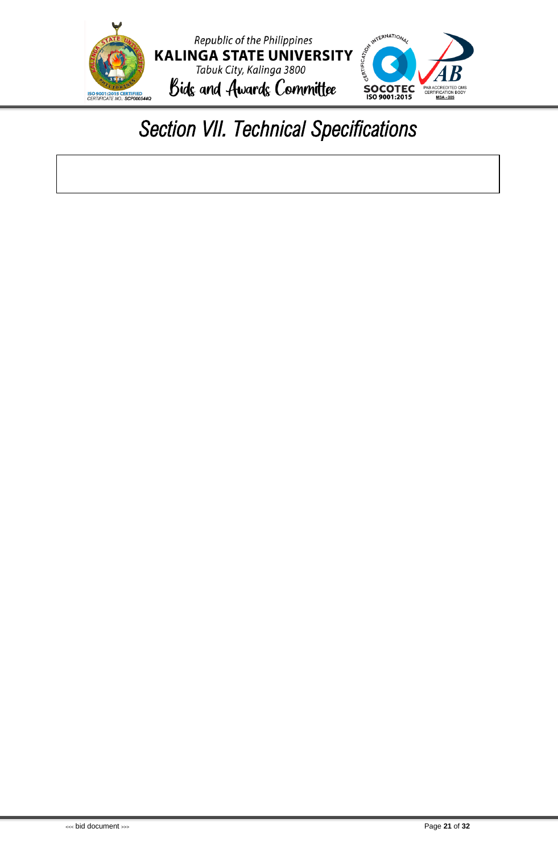

### <span id="page-21-0"></span>*Section VII. Technical Specifications*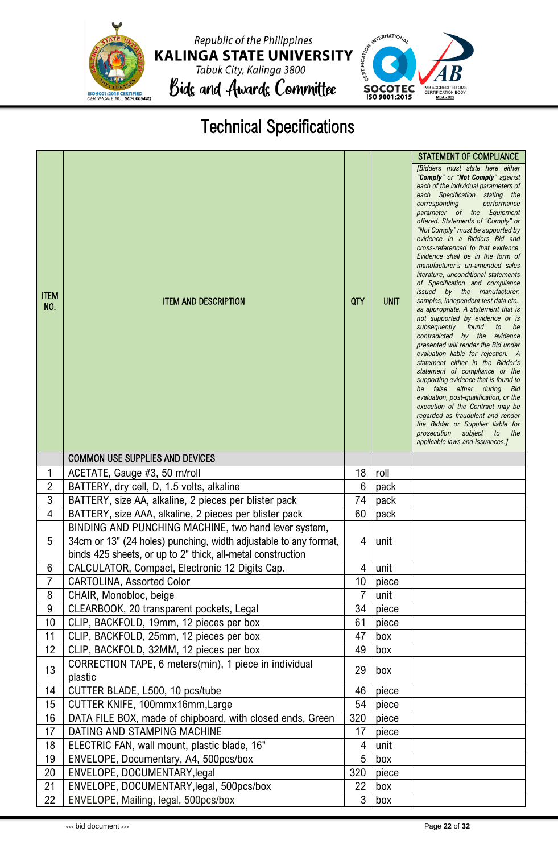

Republic of the Philippines KALINGA STATE UNIVERSITY<br>Tabuk City, Kalinga 3800<br>Bids and Awards Committee



### Technical Specifications

| <b>ITEM</b><br>NO. | <b>ITEM AND DESCRIPTION</b>                                                                                                                                                             | QTY      | <b>UNIT</b> | <b>STATEMENT OF COMPLIANCE</b><br><b>IBidders</b> must state here either<br>"Comply" or "Not Comply" against<br>each of the individual parameters of<br>each Specification stating the<br>corresponding<br>performance<br>parameter of the Equipment<br>offered. Statements of "Comply" or<br>"Not Comply" must be supported by<br>evidence in a Bidders Bid and<br>cross-referenced to that evidence.<br>Evidence shall be in the form of<br>manufacturer's un-amended sales<br>literature, unconditional statements<br>of Specification and compliance<br>issued by the manufacturer,<br>samples, independent test data etc.,<br>as appropriate. A statement that is<br>not supported by evidence or is<br>subsequently found<br>to<br>be<br>contradicted by the evidence<br>presented will render the Bid under<br>evaluation liable for rejection. A<br>statement either in the Bidder's<br>statement of compliance or the<br>supporting evidence that is found to<br>be false either during Bid<br>evaluation, post-qualification, or the<br>execution of the Contract may be<br>regarded as fraudulent and render<br>the Bidder or Supplier liable for<br>prosecution<br>subject<br>to the<br>applicable laws and issuances.] |
|--------------------|-----------------------------------------------------------------------------------------------------------------------------------------------------------------------------------------|----------|-------------|-------------------------------------------------------------------------------------------------------------------------------------------------------------------------------------------------------------------------------------------------------------------------------------------------------------------------------------------------------------------------------------------------------------------------------------------------------------------------------------------------------------------------------------------------------------------------------------------------------------------------------------------------------------------------------------------------------------------------------------------------------------------------------------------------------------------------------------------------------------------------------------------------------------------------------------------------------------------------------------------------------------------------------------------------------------------------------------------------------------------------------------------------------------------------------------------------------------------------------------|
|                    | <b>COMMON USE SUPPLIES AND DEVICES</b>                                                                                                                                                  |          |             |                                                                                                                                                                                                                                                                                                                                                                                                                                                                                                                                                                                                                                                                                                                                                                                                                                                                                                                                                                                                                                                                                                                                                                                                                                     |
| 1                  | ACETATE, Gauge #3, 50 m/roll                                                                                                                                                            | 18       | roll        |                                                                                                                                                                                                                                                                                                                                                                                                                                                                                                                                                                                                                                                                                                                                                                                                                                                                                                                                                                                                                                                                                                                                                                                                                                     |
| $\overline{2}$     | BATTERY, dry cell, D, 1.5 volts, alkaline                                                                                                                                               | 6        | pack        |                                                                                                                                                                                                                                                                                                                                                                                                                                                                                                                                                                                                                                                                                                                                                                                                                                                                                                                                                                                                                                                                                                                                                                                                                                     |
| 3                  | BATTERY, size AA, alkaline, 2 pieces per blister pack                                                                                                                                   | 74       | pack        |                                                                                                                                                                                                                                                                                                                                                                                                                                                                                                                                                                                                                                                                                                                                                                                                                                                                                                                                                                                                                                                                                                                                                                                                                                     |
| 4                  | BATTERY, size AAA, alkaline, 2 pieces per blister pack                                                                                                                                  | 60       | pack        |                                                                                                                                                                                                                                                                                                                                                                                                                                                                                                                                                                                                                                                                                                                                                                                                                                                                                                                                                                                                                                                                                                                                                                                                                                     |
| 5                  | BINDING AND PUNCHING MACHINE, two hand lever system,<br>34cm or 13" (24 holes) punching, width adjustable to any format,<br>binds 425 sheets, or up to 2" thick, all-metal construction | 4        | unit        |                                                                                                                                                                                                                                                                                                                                                                                                                                                                                                                                                                                                                                                                                                                                                                                                                                                                                                                                                                                                                                                                                                                                                                                                                                     |
| 6                  | CALCULATOR, Compact, Electronic 12 Digits Cap.                                                                                                                                          | 4        | unit        |                                                                                                                                                                                                                                                                                                                                                                                                                                                                                                                                                                                                                                                                                                                                                                                                                                                                                                                                                                                                                                                                                                                                                                                                                                     |
| $\overline{7}$     | <b>CARTOLINA, Assorted Color</b>                                                                                                                                                        | 10       | piece       |                                                                                                                                                                                                                                                                                                                                                                                                                                                                                                                                                                                                                                                                                                                                                                                                                                                                                                                                                                                                                                                                                                                                                                                                                                     |
| 8                  | CHAIR, Monobloc, beige                                                                                                                                                                  | 7        | unit        |                                                                                                                                                                                                                                                                                                                                                                                                                                                                                                                                                                                                                                                                                                                                                                                                                                                                                                                                                                                                                                                                                                                                                                                                                                     |
| $\boldsymbol{9}$   | CLEARBOOK, 20 transparent pockets, Legal                                                                                                                                                | 34       | piece       |                                                                                                                                                                                                                                                                                                                                                                                                                                                                                                                                                                                                                                                                                                                                                                                                                                                                                                                                                                                                                                                                                                                                                                                                                                     |
| 10                 | CLIP, BACKFOLD, 19mm, 12 pieces per box                                                                                                                                                 | 61       | piece       |                                                                                                                                                                                                                                                                                                                                                                                                                                                                                                                                                                                                                                                                                                                                                                                                                                                                                                                                                                                                                                                                                                                                                                                                                                     |
| 11<br>12           | CLIP, BACKFOLD, 25mm, 12 pieces per box<br>CLIP, BACKFOLD, 32MM, 12 pieces per box                                                                                                      | 47<br>49 | box         |                                                                                                                                                                                                                                                                                                                                                                                                                                                                                                                                                                                                                                                                                                                                                                                                                                                                                                                                                                                                                                                                                                                                                                                                                                     |
| 13                 | CORRECTION TAPE, 6 meters(min), 1 piece in individual<br>plastic                                                                                                                        | 29       | box<br>box  |                                                                                                                                                                                                                                                                                                                                                                                                                                                                                                                                                                                                                                                                                                                                                                                                                                                                                                                                                                                                                                                                                                                                                                                                                                     |
| 14                 | CUTTER BLADE, L500, 10 pcs/tube                                                                                                                                                         | 46       | piece       |                                                                                                                                                                                                                                                                                                                                                                                                                                                                                                                                                                                                                                                                                                                                                                                                                                                                                                                                                                                                                                                                                                                                                                                                                                     |
| 15                 | CUTTER KNIFE, 100mmx16mm, Large                                                                                                                                                         | 54       | piece       |                                                                                                                                                                                                                                                                                                                                                                                                                                                                                                                                                                                                                                                                                                                                                                                                                                                                                                                                                                                                                                                                                                                                                                                                                                     |
| 16                 | DATA FILE BOX, made of chipboard, with closed ends, Green                                                                                                                               | 320      | piece       |                                                                                                                                                                                                                                                                                                                                                                                                                                                                                                                                                                                                                                                                                                                                                                                                                                                                                                                                                                                                                                                                                                                                                                                                                                     |
| 17                 | DATING AND STAMPING MACHINE                                                                                                                                                             | 17       | piece       |                                                                                                                                                                                                                                                                                                                                                                                                                                                                                                                                                                                                                                                                                                                                                                                                                                                                                                                                                                                                                                                                                                                                                                                                                                     |
| 18                 | ELECTRIC FAN, wall mount, plastic blade, 16"                                                                                                                                            | 4        | unit        |                                                                                                                                                                                                                                                                                                                                                                                                                                                                                                                                                                                                                                                                                                                                                                                                                                                                                                                                                                                                                                                                                                                                                                                                                                     |
| 19                 | ENVELOPE, Documentary, A4, 500pcs/box                                                                                                                                                   | 5        | box         |                                                                                                                                                                                                                                                                                                                                                                                                                                                                                                                                                                                                                                                                                                                                                                                                                                                                                                                                                                                                                                                                                                                                                                                                                                     |
| 20                 | ENVELOPE, DOCUMENTARY, legal                                                                                                                                                            | 320      | piece       |                                                                                                                                                                                                                                                                                                                                                                                                                                                                                                                                                                                                                                                                                                                                                                                                                                                                                                                                                                                                                                                                                                                                                                                                                                     |
| 21                 | ENVELOPE, DOCUMENTARY, legal, 500pcs/box                                                                                                                                                | 22       | box         |                                                                                                                                                                                                                                                                                                                                                                                                                                                                                                                                                                                                                                                                                                                                                                                                                                                                                                                                                                                                                                                                                                                                                                                                                                     |
| 22                 | ENVELOPE, Mailing, legal, 500pcs/box                                                                                                                                                    | 3        | box         |                                                                                                                                                                                                                                                                                                                                                                                                                                                                                                                                                                                                                                                                                                                                                                                                                                                                                                                                                                                                                                                                                                                                                                                                                                     |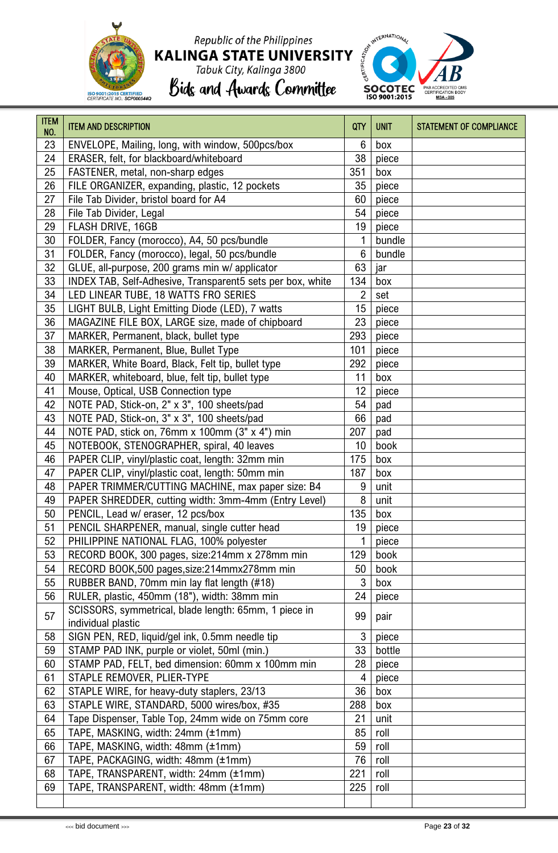

# Republic of the Philippines KALINGA STATE UNIVERSITY<br>Tabuk City, Kalinga 3800<br>Bids and Awards Committee





| <b>ITEM</b><br>NO. | <b>ITEM AND DESCRIPTION</b>                                                 | QTY | <b>UNIT</b> | <b>STATEMENT OF COMPLIANCE</b> |
|--------------------|-----------------------------------------------------------------------------|-----|-------------|--------------------------------|
| 23                 | ENVELOPE, Mailing, long, with window, 500pcs/box                            | 6   | box         |                                |
| 24                 | ERASER, felt, for blackboard/whiteboard                                     | 38  | piece       |                                |
| 25                 | FASTENER, metal, non-sharp edges                                            | 351 | box         |                                |
| 26                 | FILE ORGANIZER, expanding, plastic, 12 pockets                              | 35  | piece       |                                |
| 27                 | File Tab Divider, bristol board for A4                                      | 60  | piece       |                                |
| 28                 | File Tab Divider, Legal                                                     | 54  | piece       |                                |
| 29                 | FLASH DRIVE, 16GB                                                           | 19  | piece       |                                |
| 30                 | FOLDER, Fancy (morocco), A4, 50 pcs/bundle                                  | 1   | bundle      |                                |
| 31                 | FOLDER, Fancy (morocco), legal, 50 pcs/bundle                               | 6   | bundle      |                                |
| 32                 | GLUE, all-purpose, 200 grams min w/ applicator                              | 63  | jar         |                                |
| 33                 | INDEX TAB, Self-Adhesive, Transparent5 sets per box, white                  | 134 | box         |                                |
| 34                 | LED LINEAR TUBE, 18 WATTS FRO SERIES                                        | 2   | set         |                                |
| 35                 | LIGHT BULB, Light Emitting Diode (LED), 7 watts                             | 15  | piece       |                                |
| 36                 | MAGAZINE FILE BOX, LARGE size, made of chipboard                            | 23  | piece       |                                |
| 37                 | MARKER, Permanent, black, bullet type                                       | 293 | piece       |                                |
| 38                 | MARKER, Permanent, Blue, Bullet Type                                        | 101 | piece       |                                |
| 39                 | MARKER, White Board, Black, Felt tip, bullet type                           | 292 | piece       |                                |
| 40                 | MARKER, whiteboard, blue, felt tip, bullet type                             | 11  | box         |                                |
| 41                 | Mouse, Optical, USB Connection type                                         | 12  | piece       |                                |
| 42                 | NOTE PAD, Stick-on, 2" x 3", 100 sheets/pad                                 | 54  | pad         |                                |
| 43                 | NOTE PAD, Stick-on, 3" x 3", 100 sheets/pad                                 | 66  | pad         |                                |
| 44                 | NOTE PAD, stick on, 76mm x 100mm (3" x 4") min                              | 207 | pad         |                                |
| 45                 | NOTEBOOK, STENOGRAPHER, spiral, 40 leaves                                   | 10  | book        |                                |
| 46                 | PAPER CLIP, vinyl/plastic coat, length: 32mm min                            | 175 | box         |                                |
| 47                 | PAPER CLIP, vinyl/plastic coat, length: 50mm min                            | 187 | box         |                                |
| 48                 | PAPER TRIMMER/CUTTING MACHINE, max paper size: B4                           | 9   | unit        |                                |
| 49                 | PAPER SHREDDER, cutting width: 3mm-4mm (Entry Level)                        | 8   | unit        |                                |
| 50                 | PENCIL, Lead w/ eraser, 12 pcs/box                                          | 135 | box         |                                |
| 51                 | PENCIL SHARPENER, manual, single cutter head                                | 19  | piece       |                                |
| 52                 | PHILIPPINE NATIONAL FLAG, 100% polyester                                    | 1   | piece       |                                |
| 53                 | RECORD BOOK, 300 pages, size:214mm x 278mm min                              | 129 | book        |                                |
| 54                 | RECORD BOOK,500 pages, size: 214mmx278mm min                                | 50  | book        |                                |
| 55                 | RUBBER BAND, 70mm min lay flat length (#18)                                 | 3   | box         |                                |
| 56                 | RULER, plastic, 450mm (18"), width: 38mm min                                | 24  | piece       |                                |
| 57                 | SCISSORS, symmetrical, blade length: 65mm, 1 piece in<br>individual plastic | 99  | pair        |                                |
| 58                 | SIGN PEN, RED, liquid/gel ink, 0.5mm needle tip                             | 3   | piece       |                                |
| 59                 | STAMP PAD INK, purple or violet, 50ml (min.)                                | 33  | bottle      |                                |
| 60                 | STAMP PAD, FELT, bed dimension: 60mm x 100mm min                            | 28  | piece       |                                |
| 61                 | STAPLE REMOVER, PLIER-TYPE                                                  | 4   | piece       |                                |
| 62                 | STAPLE WIRE, for heavy-duty staplers, 23/13                                 | 36  | box         |                                |
| 63                 | STAPLE WIRE, STANDARD, 5000 wires/box, #35                                  | 288 | box         |                                |
| 64                 | Tape Dispenser, Table Top, 24mm wide on 75mm core                           | 21  | unit        |                                |
| 65                 | TAPE, MASKING, width: 24mm (±1mm)                                           | 85  | roll        |                                |
| 66                 | TAPE, MASKING, width: 48mm (±1mm)                                           | 59  | roll        |                                |
| 67                 | TAPE, PACKAGING, width: 48mm (±1mm)                                         | 76  | roll        |                                |
| 68                 | TAPE, TRANSPARENT, width: 24mm (±1mm)                                       | 221 | roll        |                                |
| 69                 | TAPE, TRANSPARENT, width: 48mm (±1mm)                                       | 225 | roll        |                                |
|                    |                                                                             |     |             |                                |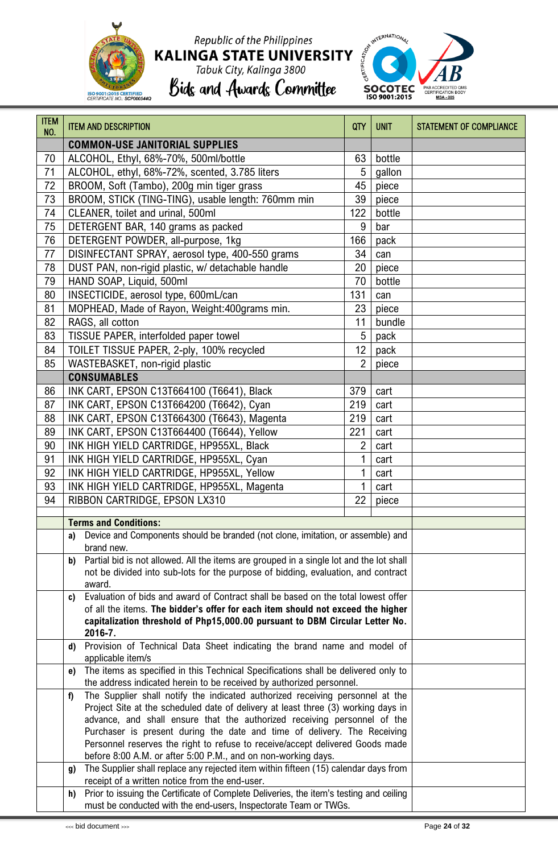

# Republic of the Philippines KALINGA STATE UNIVERSITY<br>Tabuk City, Kalinga 3800<br>Bids and Awards Committee



| <b>ITEM</b><br>NO. | <b>ITEM AND DESCRIPTION</b>                                                                                                                                       | QTY             | <b>UNIT</b> | <b>STATEMENT OF COMPLIANCE</b> |
|--------------------|-------------------------------------------------------------------------------------------------------------------------------------------------------------------|-----------------|-------------|--------------------------------|
|                    | <b>COMMON-USE JANITORIAL SUPPLIES</b>                                                                                                                             |                 |             |                                |
| 70                 | ALCOHOL, Ethyl, 68%-70%, 500ml/bottle                                                                                                                             | 63              | bottle      |                                |
| 71                 | ALCOHOL, ethyl, 68%-72%, scented, 3.785 liters                                                                                                                    | 5               | gallon      |                                |
| 72                 | BROOM, Soft (Tambo), 200g min tiger grass                                                                                                                         | 45              | piece       |                                |
| 73                 | BROOM, STICK (TING-TING), usable length: 760mm min                                                                                                                | 39              | piece       |                                |
| 74                 | CLEANER, toilet and urinal, 500ml                                                                                                                                 | 122             | bottle      |                                |
| 75                 | DETERGENT BAR, 140 grams as packed                                                                                                                                | 9               | bar         |                                |
| 76                 | DETERGENT POWDER, all-purpose, 1kg                                                                                                                                | 166             | pack        |                                |
| 77                 | DISINFECTANT SPRAY, aerosol type, 400-550 grams                                                                                                                   | 34              | can         |                                |
| 78                 | DUST PAN, non-rigid plastic, w/ detachable handle                                                                                                                 | 20              | piece       |                                |
| 79                 | HAND SOAP, Liquid, 500ml                                                                                                                                          | 70              | bottle      |                                |
| 80                 | INSECTICIDE, aerosol type, 600mL/can                                                                                                                              | 131             | can         |                                |
| 81                 | MOPHEAD, Made of Rayon, Weight: 400grams min.                                                                                                                     | 23              | piece       |                                |
| 82                 | RAGS, all cotton                                                                                                                                                  | 11              | bundle      |                                |
| 83                 | TISSUE PAPER, interfolded paper towel                                                                                                                             | 5               | pack        |                                |
| 84                 | TOILET TISSUE PAPER, 2-ply, 100% recycled                                                                                                                         | 12 <sup>°</sup> | pack        |                                |
| 85                 | WASTEBASKET, non-rigid plastic                                                                                                                                    | $\overline{2}$  | piece       |                                |
|                    | <b>CONSUMABLES</b>                                                                                                                                                |                 |             |                                |
| 86                 | INK CART, EPSON C13T664100 (T6641), Black                                                                                                                         | 379             | cart        |                                |
| 87                 | INK CART, EPSON C13T664200 (T6642), Cyan                                                                                                                          | 219             | cart        |                                |
| 88                 | INK CART, EPSON C13T664300 (T6643), Magenta                                                                                                                       | 219             | cart        |                                |
| 89                 | INK CART, EPSON C13T664400 (T6644), Yellow                                                                                                                        | 221             | cart        |                                |
| 90                 | INK HIGH YIELD CARTRIDGE, HP955XL, Black                                                                                                                          | $\overline{2}$  | cart        |                                |
| 91                 | INK HIGH YIELD CARTRIDGE, HP955XL, Cyan                                                                                                                           |                 | cart        |                                |
| 92                 | INK HIGH YIELD CARTRIDGE, HP955XL, Yellow                                                                                                                         | 1               | cart        |                                |
| 93                 | INK HIGH YIELD CARTRIDGE, HP955XL, Magenta                                                                                                                        |                 | cart        |                                |
| 94                 | RIBBON CARTRIDGE, EPSON LX310                                                                                                                                     | 22              | piece       |                                |
|                    |                                                                                                                                                                   |                 |             |                                |
|                    | <b>Terms and Conditions:</b>                                                                                                                                      |                 |             |                                |
|                    | Device and Components should be branded (not clone, imitation, or assemble) and<br>a)                                                                             |                 |             |                                |
|                    | brand new.<br>Partial bid is not allowed. All the items are grouped in a single lot and the lot shall<br>b)                                                       |                 |             |                                |
|                    | not be divided into sub-lots for the purpose of bidding, evaluation, and contract                                                                                 |                 |             |                                |
|                    | award.                                                                                                                                                            |                 |             |                                |
|                    | Evaluation of bids and award of Contract shall be based on the total lowest offer<br>c)                                                                           |                 |             |                                |
|                    | of all the items. The bidder's offer for each item should not exceed the higher                                                                                   |                 |             |                                |
|                    | capitalization threshold of Php15,000.00 pursuant to DBM Circular Letter No.                                                                                      |                 |             |                                |
|                    | 2016-7.                                                                                                                                                           |                 |             |                                |
|                    | Provision of Technical Data Sheet indicating the brand name and model of<br>d)                                                                                    |                 |             |                                |
|                    | applicable item/s<br>The items as specified in this Technical Specifications shall be delivered only to                                                           |                 |             |                                |
|                    | e)<br>the address indicated herein to be received by authorized personnel.                                                                                        |                 |             |                                |
|                    | The Supplier shall notify the indicated authorized receiving personnel at the<br>f)                                                                               |                 |             |                                |
|                    | Project Site at the scheduled date of delivery at least three (3) working days in                                                                                 |                 |             |                                |
|                    | advance, and shall ensure that the authorized receiving personnel of the                                                                                          |                 |             |                                |
|                    | Purchaser is present during the date and time of delivery. The Receiving                                                                                          |                 |             |                                |
|                    | Personnel reserves the right to refuse to receive/accept delivered Goods made                                                                                     |                 |             |                                |
|                    | before 8:00 A.M. or after 5:00 P.M., and on non-working days.                                                                                                     |                 |             |                                |
|                    | The Supplier shall replace any rejected item within fifteen (15) calendar days from<br>g)                                                                         |                 |             |                                |
|                    | receipt of a written notice from the end-user.                                                                                                                    |                 |             |                                |
|                    | Prior to issuing the Certificate of Complete Deliveries, the item's testing and ceiling<br>h)<br>must be conducted with the end-users, Inspectorate Team or TWGs. |                 |             |                                |
|                    |                                                                                                                                                                   |                 |             |                                |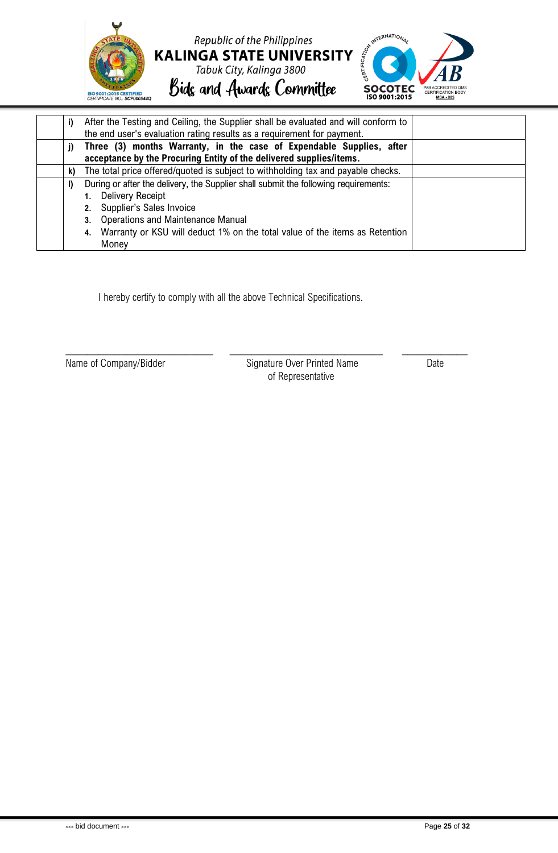

|    | After the Testing and Ceiling, the Supplier shall be evaluated and will conform to<br>the end user's evaluation rating results as a requirement for payment. |  |  |  |  |  |
|----|--------------------------------------------------------------------------------------------------------------------------------------------------------------|--|--|--|--|--|
| j) | Three (3) months Warranty, in the case of Expendable Supplies, after                                                                                         |  |  |  |  |  |
|    | acceptance by the Procuring Entity of the delivered supplies/items.                                                                                          |  |  |  |  |  |
| k) | The total price offered/quoted is subject to withholding tax and payable checks.                                                                             |  |  |  |  |  |
|    | During or after the delivery, the Supplier shall submit the following requirements:                                                                          |  |  |  |  |  |
|    | <b>Delivery Receipt</b>                                                                                                                                      |  |  |  |  |  |
|    | Supplier's Sales Invoice<br>2.                                                                                                                               |  |  |  |  |  |
|    | <b>Operations and Maintenance Manual</b><br>3.                                                                                                               |  |  |  |  |  |
|    | Warranty or KSU will deduct 1% on the total value of the items as Retention<br>4.                                                                            |  |  |  |  |  |
|    | Money                                                                                                                                                        |  |  |  |  |  |

I hereby certify to comply with all the above Technical Specifications.

Name of Company/Bidder Signature Over Printed Name Date of Representative

\_\_\_\_\_\_\_\_\_\_\_\_\_\_\_\_\_\_\_\_\_\_\_\_\_\_\_ \_\_\_\_\_\_\_\_\_\_\_\_\_\_\_\_\_\_\_\_\_\_\_\_\_\_\_\_ \_\_\_\_\_\_\_\_\_\_\_\_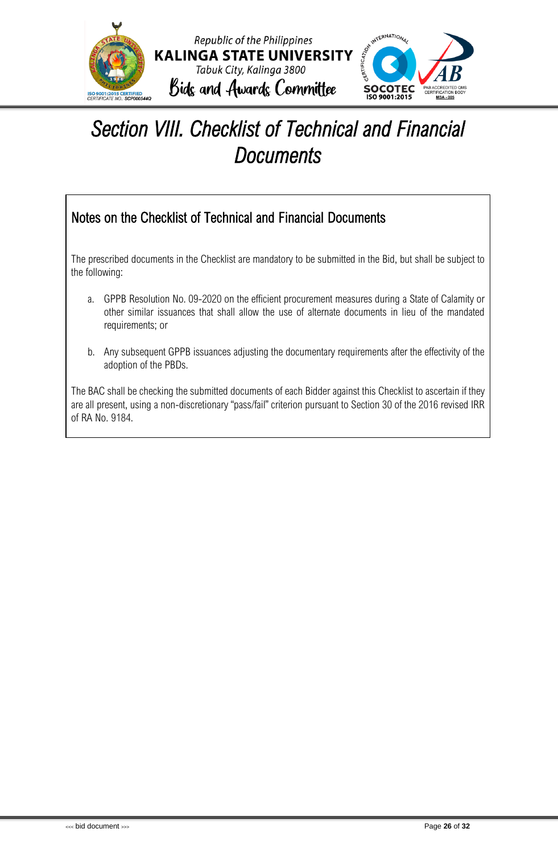

### <span id="page-26-0"></span>*Section VIII. Checklist of Technical and Financial Documents*

### Notes on the Checklist of Technical and Financial Documents

The prescribed documents in the Checklist are mandatory to be submitted in the Bid, but shall be subject to the following:

- a. GPPB Resolution No. 09-2020 on the efficient procurement measures during a State of Calamity or other similar issuances that shall allow the use of alternate documents in lieu of the mandated requirements; or
- b. Any subsequent GPPB issuances adjusting the documentary requirements after the effectivity of the adoption of the PBDs.

The BAC shall be checking the submitted documents of each Bidder against this Checklist to ascertain if they are all present, using a non-discretionary "pass/fail" criterion pursuant to Section 30 of the 2016 revised IRR of RA No. 9184.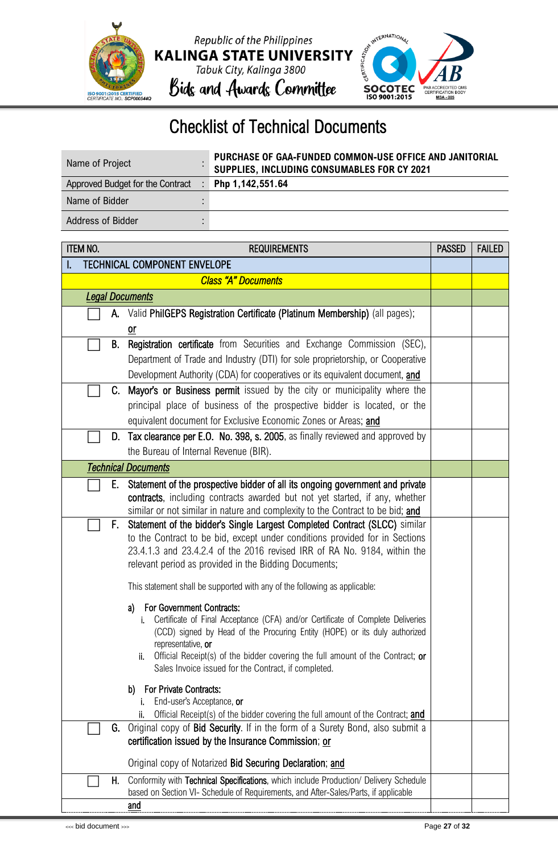





### Checklist of Technical Documents

| Name of Project                  | PURCHASE OF GAA-FUNDED COMMON-USE OFFICE AND JANITORIAL<br>SUPPLIES, INCLUDING CONSUMABLES FOR CY 2021 |
|----------------------------------|--------------------------------------------------------------------------------------------------------|
| Approved Budget for the Contract | Php 1,142,551.64                                                                                       |
| Name of Bidder                   |                                                                                                        |
| Address of Bidder                |                                                                                                        |

|                                     | <b>ITEM NO.</b><br><b>REQUIREMENTS</b>                                                                                                                       |  |  |  |  |
|-------------------------------------|--------------------------------------------------------------------------------------------------------------------------------------------------------------|--|--|--|--|
| <b>TECHNICAL COMPONENT ENVELOPE</b> |                                                                                                                                                              |  |  |  |  |
|                                     | <b>Class "A" Documents</b>                                                                                                                                   |  |  |  |  |
| <b>Legal Documents</b>              |                                                                                                                                                              |  |  |  |  |
| А.                                  | Valid PhilGEPS Registration Certificate (Platinum Membership) (all pages);                                                                                   |  |  |  |  |
|                                     | 0ľ                                                                                                                                                           |  |  |  |  |
| В.                                  | Registration certificate from Securities and Exchange Commission (SEC),                                                                                      |  |  |  |  |
|                                     | Department of Trade and Industry (DTI) for sole proprietorship, or Cooperative                                                                               |  |  |  |  |
|                                     | Development Authority (CDA) for cooperatives or its equivalent document, and                                                                                 |  |  |  |  |
|                                     | C. Mayor's or Business permit issued by the city or municipality where the                                                                                   |  |  |  |  |
|                                     | principal place of business of the prospective bidder is located, or the                                                                                     |  |  |  |  |
|                                     | equivalent document for Exclusive Economic Zones or Areas; and                                                                                               |  |  |  |  |
|                                     | D. Tax clearance per E.O. No. 398, s. 2005, as finally reviewed and approved by                                                                              |  |  |  |  |
|                                     | the Bureau of Internal Revenue (BIR).                                                                                                                        |  |  |  |  |
|                                     | <b>Technical Documents</b>                                                                                                                                   |  |  |  |  |
| Е.                                  | Statement of the prospective bidder of all its ongoing government and private                                                                                |  |  |  |  |
|                                     | contracts, including contracts awarded but not yet started, if any, whether                                                                                  |  |  |  |  |
| F.                                  | similar or not similar in nature and complexity to the Contract to be bid; and<br>Statement of the bidder's Single Largest Completed Contract (SLCC) similar |  |  |  |  |
|                                     | to the Contract to be bid, except under conditions provided for in Sections                                                                                  |  |  |  |  |
|                                     | 23.4.1.3 and 23.4.2.4 of the 2016 revised IRR of RA No. 9184, within the                                                                                     |  |  |  |  |
|                                     | relevant period as provided in the Bidding Documents;                                                                                                        |  |  |  |  |
|                                     | This statement shall be supported with any of the following as applicable:                                                                                   |  |  |  |  |
|                                     | <b>For Government Contracts:</b><br>a)                                                                                                                       |  |  |  |  |
|                                     | Certificate of Final Acceptance (CFA) and/or Certificate of Complete Deliveries                                                                              |  |  |  |  |
|                                     | (CCD) signed by Head of the Procuring Entity (HOPE) or its duly authorized<br>representative, or                                                             |  |  |  |  |
|                                     | Official Receipt(s) of the bidder covering the full amount of the Contract; or<br>ii.                                                                        |  |  |  |  |
|                                     | Sales Invoice issued for the Contract, if completed.                                                                                                         |  |  |  |  |
|                                     | For Private Contracts:<br>b)                                                                                                                                 |  |  |  |  |
|                                     | End-user's Acceptance, or                                                                                                                                    |  |  |  |  |
|                                     | Official Receipt(s) of the bidder covering the full amount of the Contract; and<br>ii.                                                                       |  |  |  |  |
| G.                                  | Original copy of Bid Security. If in the form of a Surety Bond, also submit a                                                                                |  |  |  |  |
|                                     | certification issued by the Insurance Commission; or                                                                                                         |  |  |  |  |
|                                     | Original copy of Notarized Bid Securing Declaration; and                                                                                                     |  |  |  |  |
| Н.                                  | Conformity with Technical Specifications, which include Production/ Delivery Schedule                                                                        |  |  |  |  |
|                                     | based on Section VI- Schedule of Requirements, and After-Sales/Parts, if applicable                                                                          |  |  |  |  |
|                                     | <u>and</u>                                                                                                                                                   |  |  |  |  |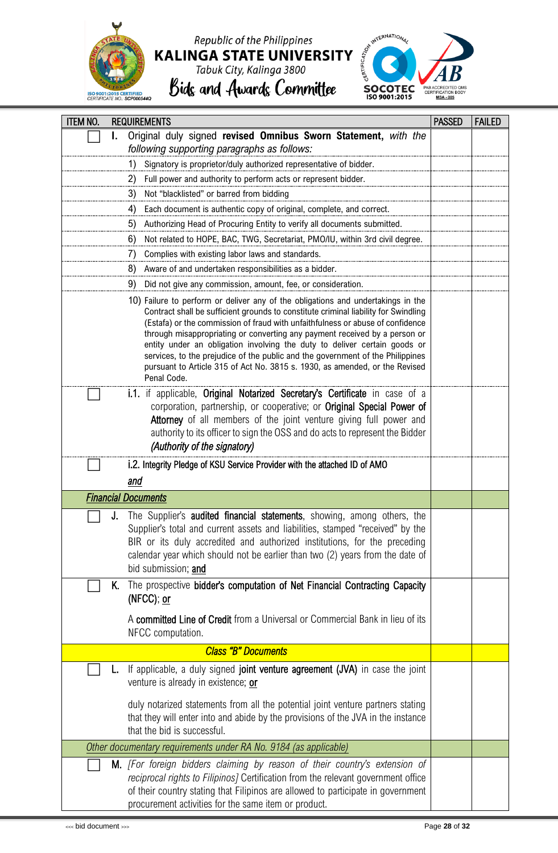

### Republic of the Philippines **KALINGA STATE UNIVERSITY** Tabuk City, Kalinga 3800

Bids and Awards Committee

*following supporting paragraphs as follows:*

ITEM NO. REQUIREMENTS PASSED FAILED ⬜ **I.** Original duly signed **revised Omnibus Sworn Statement,** *with the* 



### 1) Signatory is proprietor/duly authorized representative of bidder. 2) Full power and authority to perform acts or represent bidder. 3) Not "blacklisted" or barred from bidding 4) Each document is authentic copy of original, complete, and correct. 5) Authorizing Head of Procuring Entity to verify all documents submitted. 6) Not related to HOPE, BAC, TWG, Secretariat, PMO/IU, within 3rd civil degree. 7) Complies with existing labor laws and standards. 8) Aware of and undertaken responsibilities as a bidder. 9) Did not give any commission, amount, fee, or consideration. 10) Failure to perform or deliver any of the obligations and undertakings in the Contract shall be sufficient grounds to constitute criminal liability for Swindling (Estafa) or the commission of fraud with unfaithfulness or abuse of confidence through misappropriating or converting any payment received by a person or entity under an obligation involving the duty to deliver certain goods or services, to the prejudice of the public and the government of the Philippines pursuant to Article 315 of Act No. 3815 s. 1930, as amended, or the Revised Penal Code. i.1. if applicable, Original Notarized Secretary's Certificate in case of a corporation, partnership, or cooperative; or Original Special Power of Attorney of all members of the joint venture giving full power and authority to its officer to sign the OSS and do acts to represent the Bidder *(Authority of the signatory)* i.2. Integrity Pledge of KSU Service Provider with the attached ID of AMO *and Financial Documents*  **J.** The Supplier's audited financial statements, showing, among others, the Supplier's total and current assets and liabilities, stamped "received" by the BIR or its duly accredited and authorized institutions, for the preceding calendar year which should not be earlier than two (2) years from the date of bid submission; and K. The prospective bidder's computation of Net Financial Contracting Capacity (NFCC); or A committed Line of Credit from a Universal or Commercial Bank in lieu of its NFCC computation. *Class "B" Documents*  If applicable, a duly signed joint venture agreement (JVA) in case the joint venture is already in existence; or duly notarized statements from all the potential joint venture partners stating that they will enter into and abide by the provisions of the JVA in the instance that the bid is successful. *Other documentary requirements under RA No. 9184 (as applicable)* ⬜ M. *[For foreign bidders claiming by reason of their country's extension of reciprocal rights to Filipinos]* Certification from the relevant government office of their country stating that Filipinos are allowed to participate in government procurement activities for the same item or product.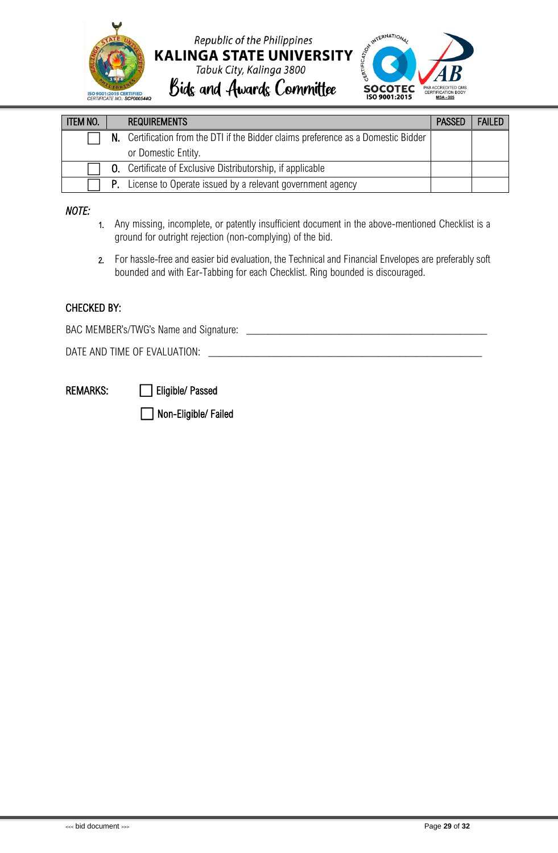

Republic of the Philippines **KALINGA STATE UNIVERSITY** Tabuk City, Kalinga 3800 Bids and Awards Committee



ITEM NO. | REQUIREMENTS | PASSED | FAILED N. Certification from the DTI if the Bidder claims preference as a Domestic Bidder or Domestic Entity. **O.** Certificate of Exclusive Distributorship, if applicable P. License to Operate issued by a relevant government agency

#### *NOTE:*

- 1. Any missing, incomplete, or patently insufficient document in the above-mentioned Checklist is a ground for outright rejection (non-complying) of the bid.
- 2. For hassle-free and easier bid evaluation, the Technical and Financial Envelopes are preferably soft bounded and with Ear-Tabbing for each Checklist. Ring bounded is discouraged.

#### CHECKED BY:

BAC MEMBER's/TWG's Name and Signature:

DATE AND TIME OF EVALUATION:

REMARKS: **in Eligible/ Passed** 

⬜ Non-Eligible/ Failed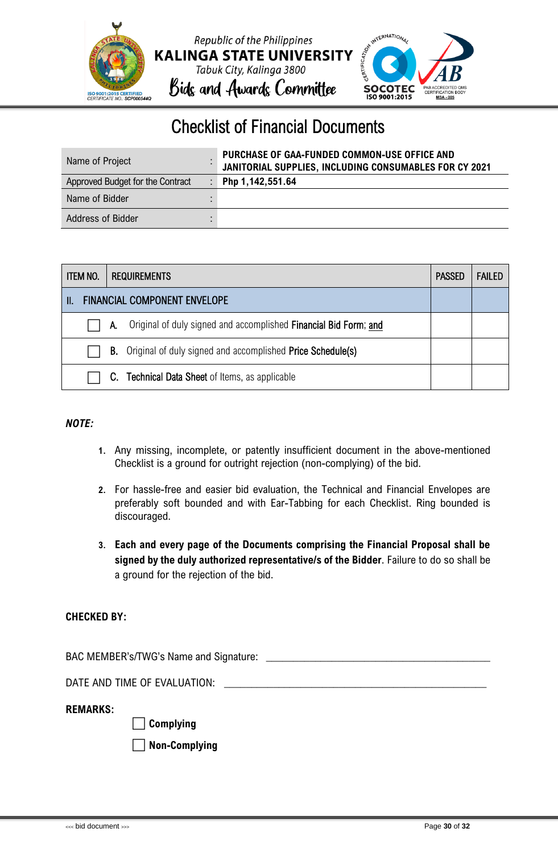



### Checklist of Financial Documents

| Name of Project                  | PURCHASE OF GAA-FUNDED COMMON-USE OFFICE AND<br>JANITORIAL SUPPLIES, INCLUDING CONSUMABLES FOR CY 2021 |
|----------------------------------|--------------------------------------------------------------------------------------------------------|
| Approved Budget for the Contract | Php 1,142,551.64                                                                                       |
| Name of Bidder                   |                                                                                                        |
| Address of Bidder                |                                                                                                        |

|                                          | <b>ITEM NO.</b><br><b>REQUIREMENTS</b> |    |                                                                      | <b>PASSED</b> | <b>FAILED</b> |
|------------------------------------------|----------------------------------------|----|----------------------------------------------------------------------|---------------|---------------|
| <b>FINANCIAL COMPONENT ENVELOPE</b><br>Ш |                                        |    |                                                                      |               |               |
|                                          |                                        | А. | Original of duly signed and accomplished Financial Bid Form; and     |               |               |
|                                          |                                        |    | <b>B.</b> Original of duly signed and accomplished Price Schedule(s) |               |               |
|                                          |                                        |    | C. Technical Data Sheet of Items, as applicable                      |               |               |

#### *NOTE:*

- **1.** Any missing, incomplete, or patently insufficient document in the above-mentioned Checklist is a ground for outright rejection (non-complying) of the bid.
- **2.** For hassle-free and easier bid evaluation, the Technical and Financial Envelopes are preferably soft bounded and with Ear-Tabbing for each Checklist. Ring bounded is discouraged.
- **3. Each and every page of the Documents comprising the Financial Proposal shall be signed by the duly authorized representative/s of the Bidder**. Failure to do so shall be a ground for the rejection of the bid.

#### **CHECKED BY:**

BAC MEMBER's/TWG's Name and Signature: \_

DATE AND TIME OF EVALUATION:

**REMARKS:**

⬜ **Complying** 

⬜ **Non-Complying**